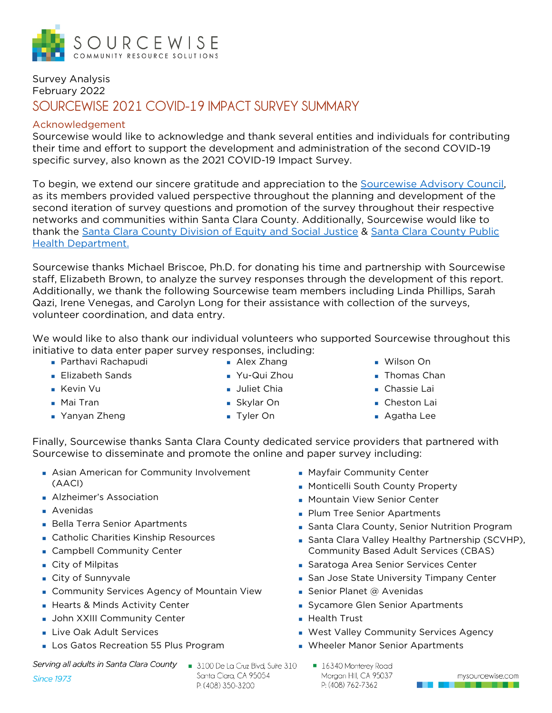

## Survey Analysis February 2022 **SOURCEWISE 2021 COVID-19 IMPACT SURVEY SUMMARY**

#### Acknowledgement

Sourcewise would like to acknowledge and thank several entities and individuals for contributing their time and effort to support the development and administration of the second COVID-19 specific survey, also known as the 2021 COVID-19 Impact Survey.

To begin, we extend our sincere gratitude and appreciation to the [Sourcewise Advisory Council,](https://mysourcewise.com/support-sourcewise/advisory-council/) as its members provided valued perspective throughout the planning and development of the second iteration of survey questions and promotion of the survey throughout their respective networks and communities within Santa Clara County. Additionally, Sourcewise would like to thank the [Santa Clara County Division of Equity and Social Justice](https://desj.sccgov.org/home) & Santa Clara County Public [Health Department.](https://publichealth.sccgov.org/home)

Sourcewise thanks Michael Briscoe, Ph.D. for donating his time and partnership with Sourcewise staff, Elizabeth Brown, to analyze the survey responses through the development of this report. Additionally, we thank the following Sourcewise team members including Linda Phillips, Sarah Qazi, Irene Venegas, and Carolyn Long for their assistance with collection of the surveys, volunteer coordination, and data entry.

We would like to also thank our individual volunteers who supported Sourcewise throughout this initiative to data enter paper survey responses, including:

**Parthavi Rachapudi** 

**Elizabeth Sands** 

Yanyan Zheng

**Kevin Vu** ■ Mai Tran

- **Alex Zhang**
- Yu-Qui Zhou
- **Juliet Chia** 
	- Skylar On
	- Tyler On
- Wilson On
- **Thomas Chan**
- **Chassie Lai**
- **Cheston Lai**
- Agatha Lee

Finally, Sourcewise thanks Santa Clara County dedicated service providers that partnered with Sourcewise to disseminate and promote the online and paper survey including:

- **Asian American for Community Involvement** (AACI)
- **Alzheimer's Association**
- Avenidas
- **Bella Terra Senior Apartments**
- **Catholic Charities Kinship Resources**
- **Campbell Community Center**
- City of Milpitas
- City of Sunnyvale
- **Community Services Agency of Mountain View**
- **Hearts & Minds Activity Center**
- **John XXIII Community Center**
- **Live Oak Adult Services**
- **Los Gatos Recreation 55 Plus Program**

Serving all adults in Santa Clara County

**Since 1973** 

3100 De La Cruz Blvd, Suite 310 Santa Clara, CA 95054 P: (408) 350-3200

- **Mayfair Community Center**
- **Monticelli South County Property**
- **Mountain View Senior Center**
- **Plum Tree Senior Apartments**
- **Santa Clara County, Senior Nutrition Program**
- Santa Clara Valley Healthy Partnership (SCVHP), Community Based Adult Services (CBAS)
- **Saratoga Area Senior Services Center**
- **San Jose State University Timpany Center**
- Senior Planet  $@$  Avenidas
- Sycamore Glen Senior Apartments
- **Health Trust**
- **West Valley Community Services Agency**
- **NA** Wheeler Manor Senior Apartments
	- 16340 Monterey Road Morgan Hill, CA 95037 P: (408) 762-7362

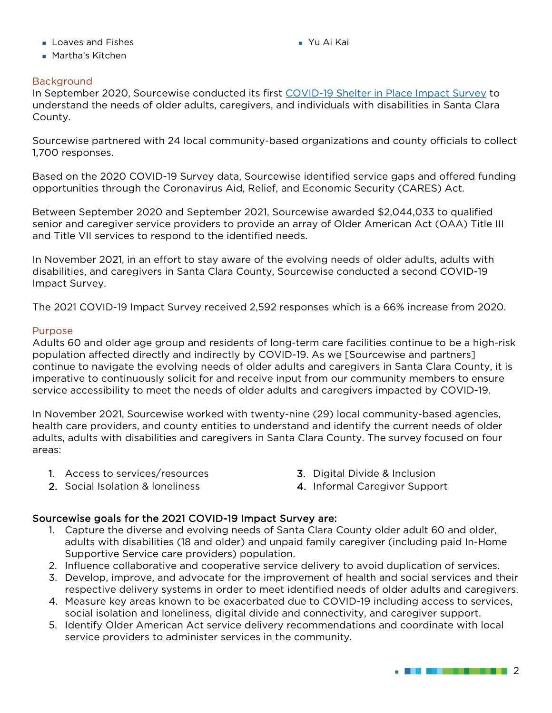- **Loaves and Fishes**
- **Martha's Kitchen**

Yu Ai Kai

#### Background

In September 2020, Sourcewise conducted its first [COVID-19 Shelter in Place Impact Survey](chrome-extension://efaidnbmnnnibpcajpcglclefindmkaj/viewer.html?pdfurl=https%3A%2F%2Fmysourcewise.com%2Fwp-content%2Fuploads%2F2021%2F05%2F2020-Sourcewise-COVID-Impact-Survey-Summary.pdf&clen=310796&chunk=true) to understand the needs of older adults, caregivers, and individuals with disabilities in Santa Clara County.

Sourcewise partnered with 24 local community-based organizations and county officials to collect 1,700 responses.

Based on the 2020 COVID-19 Survey data, Sourcewise identified service gaps and offered funding opportunities through the Coronavirus Aid, Relief, and Economic Security (CARES) Act.

Between September 2020 and September 2021, Sourcewise awarded \$2,044,033 to qualified senior and caregiver service providers to provide an array of Older American Act (OAA) Title III and Title VII services to respond to the identified needs.

In November 2021, in an effort to stay aware of the evolving needs of older adults, adults with disabilities, and caregivers in Santa Clara County, Sourcewise conducted a second COVID-19 Impact Survey.

The 2021 COVID-19 Impact Survey received 2,592 responses which is a 66% increase from 2020.

#### Purpose

Adults 60 and older age group and residents of long-term care facilities continue to be a high-risk population affected directly and indirectly by COVID-19. As we [Sourcewise and partners] continue to navigate the evolving needs of older adults and caregivers in Santa Clara County, it is imperative to continuously solicit for and receive input from our community members to ensure service accessibility to meet the needs of older adults and caregivers impacted by COVID-19.

In November 2021, Sourcewise worked with twenty-nine (29) local community-based agencies, health care providers, and county entities to understand and identify the current needs of older adults, adults with disabilities and caregivers in Santa Clara County. The survey focused on four areas:

- 1. Access to services/resources
- 2. Social Isolation & loneliness
- 3. Digital Divide & Inclusion
- 4. Informal Caregiver Support

#### Sourcewise goals for the 2021 COVID-19 Impact Survey are:

- 1. Capture the diverse and evolving needs of Santa Clara County older adult 60 and older, adults with disabilities (18 and older) and unpaid family caregiver (including paid In-Home Supportive Service care providers) population.
- 2. Influence collaborative and cooperative service delivery to avoid duplication of services.
- 3. Develop, improve, and advocate for the improvement of health and social services and their respective delivery systems in order to meet identified needs of older adults and caregivers.
- 4. Measure key areas known to be exacerbated due to COVID-19 including access to services, social isolation and loneliness, digital divide and connectivity, and caregiver support.
- 5. Identify Older American Act service delivery recommendations and coordinate with local service providers to administer services in the community.

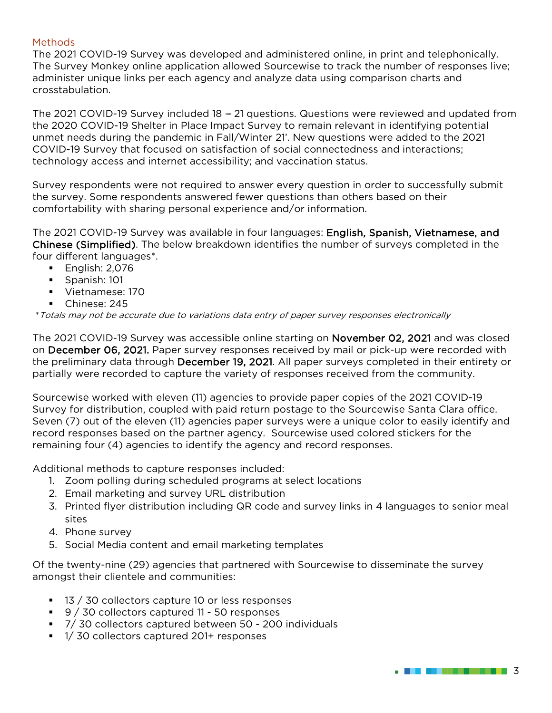#### Methods

The 2021 COVID-19 Survey was developed and administered online, in print and telephonically. The Survey Monkey online application allowed Sourcewise to track the number of responses live; administer unique links per each agency and analyze data using comparison charts and crosstabulation.

The 2021 COVID-19 Survey included 18 - 21 questions. Questions were reviewed and updated from the 2020 COVID-19 Shelter in Place Impact Survey to remain relevant in identifying potential unmet needs during the pandemic in Fall/Winter 21'. New questions were added to the 2021 COVID-19 Survey that focused on satisfaction of social connectedness and interactions; technology access and internet accessibility; and vaccination status.

Survey respondents were not required to answer every question in order to successfully submit the survey. Some respondents answered fewer questions than others based on their comfortability with sharing personal experience and/or information.

The 2021 COVID-19 Survey was available in four languages: English, Spanish, Vietnamese, and Chinese (Simplified). The below breakdown identifies the number of surveys completed in the four different languages\*.

- $\blacksquare$  English: 2,076
- **Spanish: 101**
- Vietnamese: 170
- Chinese: 245

\*Totals may not be accurate due to variations data entry of paper survey responses electronically

The 2021 COVID-19 Survey was accessible online starting on November 02, 2021 and was closed on December 06, 2021. Paper survey responses received by mail or pick-up were recorded with the preliminary data through December 19, 2021. All paper surveys completed in their entirety or partially were recorded to capture the variety of responses received from the community.

Sourcewise worked with eleven (11) agencies to provide paper copies of the 2021 COVID-19 Survey for distribution, coupled with paid return postage to the Sourcewise Santa Clara office. Seven (7) out of the eleven (11) agencies paper surveys were a unique color to easily identify and record responses based on the partner agency. Sourcewise used colored stickers for the remaining four (4) agencies to identify the agency and record responses.

Additional methods to capture responses included:

- 1. Zoom polling during scheduled programs at select locations
- 2. Email marketing and survey URL distribution
- 3. Printed flyer distribution including QR code and survey links in 4 languages to senior meal sites
- 4. Phone survey
- 5. Social Media content and email marketing templates

Of the twenty-nine (29) agencies that partnered with Sourcewise to disseminate the survey amongst their clientele and communities:

- 13 / 30 collectors capture 10 or less responses
- 9 / 30 collectors captured 11 50 responses
- 7/ 30 collectors captured between 50 200 individuals
- 1/30 collectors captured 201+ responses

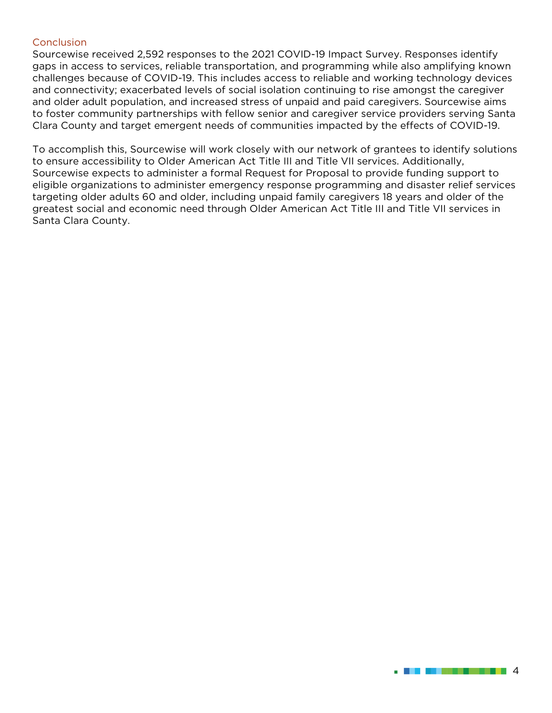#### **Conclusion**

Sourcewise received 2,592 responses to the 2021 COVID-19 Impact Survey. Responses identify gaps in access to services, reliable transportation, and programming while also amplifying known challenges because of COVID-19. This includes access to reliable and working technology devices and connectivity; exacerbated levels of social isolation continuing to rise amongst the caregiver and older adult population, and increased stress of unpaid and paid caregivers. Sourcewise aims to foster community partnerships with fellow senior and caregiver service providers serving Santa Clara County and target emergent needs of communities impacted by the effects of COVID-19.

To accomplish this, Sourcewise will work closely with our network of grantees to identify solutions to ensure accessibility to Older American Act Title III and Title VII services. Additionally, Sourcewise expects to administer a formal Request for Proposal to provide funding support to eligible organizations to administer emergency response programming and disaster relief services targeting older adults 60 and older, including unpaid family caregivers 18 years and older of the greatest social and economic need through Older American Act Title III and Title VII services in Santa Clara County.

4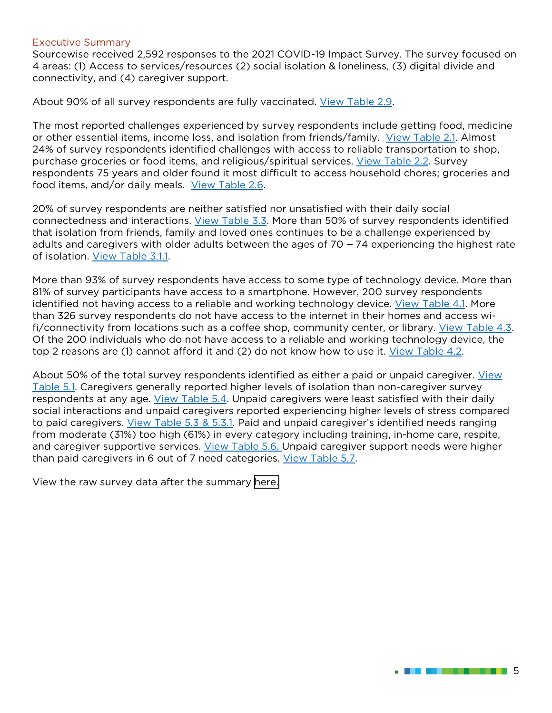#### Executive Summary

Sourcewise received 2,592 responses to the 2021 COVID-19 Impact Survey. The survey focused on 4 areas: (1) Access to services/resources (2) social isolation & loneliness, (3) digital divide and connectivity, and (4) caregiver support.

About 90% of all survey respondents are fully vaccinated. [View Table 2.9.](#page-12-0)

The most reported challenges experienced by survey respondents include getting food, medicine or other essential items, income loss, and isolation from friends/family. [View Table 2.1.](#page-8-0) Almost 24% of survey respondents identified challenges with access to reliable transportation to shop, purchase groceries or food items, and religious/spiritual services. [View Table 2.2.](#page-9-0) Survey respondents 75 years and older found it most difficult to access household chores; groceries and food items, and/or daily meals. [View Table 2.6.](#page-11-0)

20% of survey respondents are neither satisfied nor unsatisfied with their daily social connectedness and interactions. [View Table 3.3.](#page-13-0) More than 50% of survey respondents identified that isolation from friends, family and loved ones continues to be a challenge experienced by adults and caregivers with older adults between the ages of  $70 - 74$  experiencing the highest rate of isolation. [View Table 3.1.1.](#page-12-1) 

More than 93% of survey respondents have access to some type of technology device. More than 81% of survey participants have access to a smartphone. However, 200 survey respondents identified not having access to a reliable and working technology device. [View Table 4.1.](#page-14-0) More than 326 survey respondents do not have access to the internet in their homes and access wifi/connectivity from locations such as a coffee shop, community center, or library. [View Table 4.3.](#page-15-0) Of the 200 individuals who do not have access to a reliable and working technology device, the top 2 reasons are (1) cannot afford it and (2) do not know how to use it. [View Table 4.2.](#page-14-1)

About 50% of the total survey respondents identified as either a paid or unpaid caregiver. [View](#page-15-1)  [Table 5.1.](#page-15-1) Caregivers generally reported higher levels of isolation than non-caregiver survey respondents at any age. [View Table 5.4.](#page-17-0) Unpaid caregivers were least satisfied with their daily social interactions and unpaid caregivers reported experiencing higher levels of stress compared to paid caregivers. [View Table 5.3](#page-16-0) & 5.3.1. Paid and unpaid caregiver's identified needs ranging from moderate (31%) too high (61%) in every category including training, in-home care, respite, and caregiver supportive services. [View Table 5.6.](#page-17-1) Unpaid caregiver support needs were higher than paid caregivers in 6 out of 7 need categories. [View Table 5.7.](#page-18-0)

View the raw survey data after the summary [here.](#page-19-0)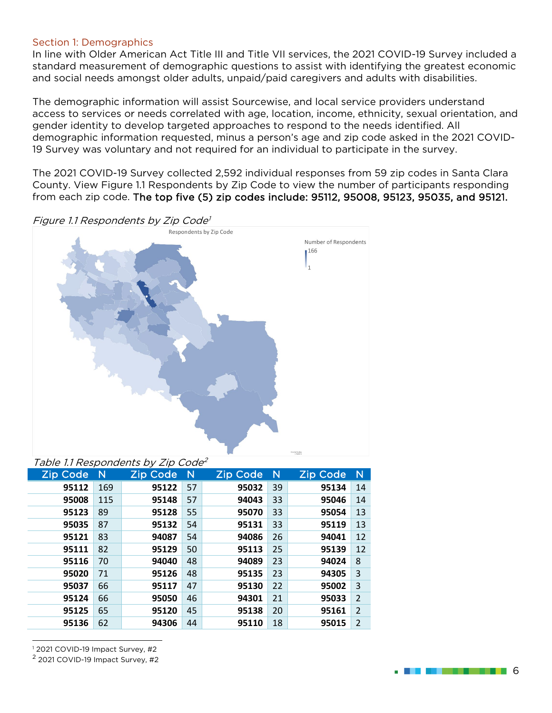#### Section 1: Demographics

In line with Older American Act Title III and Title VII services, the 2021 COVID-19 Survey included a standard measurement of demographic questions to assist with identifying the greatest economic and social needs amongst older adults, unpaid/paid caregivers and adults with disabilities.

The demographic information will assist Sourcewise, and local service providers understand access to services or needs correlated with age, location, income, ethnicity, sexual orientation, and gender identity to develop targeted approaches to respond to the needs identified. All demographic information requested, minus a person's age and zip code asked in the 2021 COVID-19 Survey was voluntary and not required for an individual to participate in the survey.

The 2021 COVID-19 Survey collected 2,592 individual responses from 59 zip codes in Santa Clara County. View Figure 1.1 Respondents by Zip Code to view the number of participants responding from each zip code. The top five (5) zip codes include: 95112, 95008, 95123, 95035, and 95121.



| Table III Respondents by Zip Code |     |                 |    |                 |    |                 |                |
|-----------------------------------|-----|-----------------|----|-----------------|----|-----------------|----------------|
| <b>Zip Code</b>                   | -N  | <b>Zip Code</b> | N  | <b>Zip Code</b> | N  | <b>Zip Code</b> | $\mathsf{N}$   |
| 95112                             | 169 | 95122           | 57 | 95032           | 39 | 95134           | 14             |
| 95008                             | 115 | 95148           | 57 | 94043           | 33 | 95046           | 14             |
| 95123                             | 89  | 95128           | 55 | 95070           | 33 | 95054           | 13             |
| 95035                             | 87  | 95132           | 54 | 95131           | 33 | 95119           | 13             |
| 95121                             | 83  | 94087           | 54 | 94086           | 26 | 94041           | 12             |
| 95111                             | 82  | 95129           | 50 | 95113           | 25 | 95139           | 12             |
| 95116                             | 70  | 94040           | 48 | 94089           | 23 | 94024           | 8              |
| 95020                             | 71  | 95126           | 48 | 95135           | 23 | 94305           | 3              |
| 95037                             | 66  | 95117           | 47 | 95130           | 22 | 95002           | 3              |
| 95124                             | 66  | 95050           | 46 | 94301           | 21 | 95033           | $\overline{2}$ |
| 95125                             | 65  | 95120           | 45 | 95138           | 20 | 95161           | $\overline{2}$ |
| 95136                             | 62  | 94306           | 44 | 95110           | 18 | 95015           | $\overline{2}$ |
|                                   |     |                 |    |                 |    |                 |                |

<sup>1</sup> 2021 COVID-19 Impact Survey, #2

<span id="page-5-0"></span><sup>2</sup> 2021 COVID-19 Impact Survey, #2

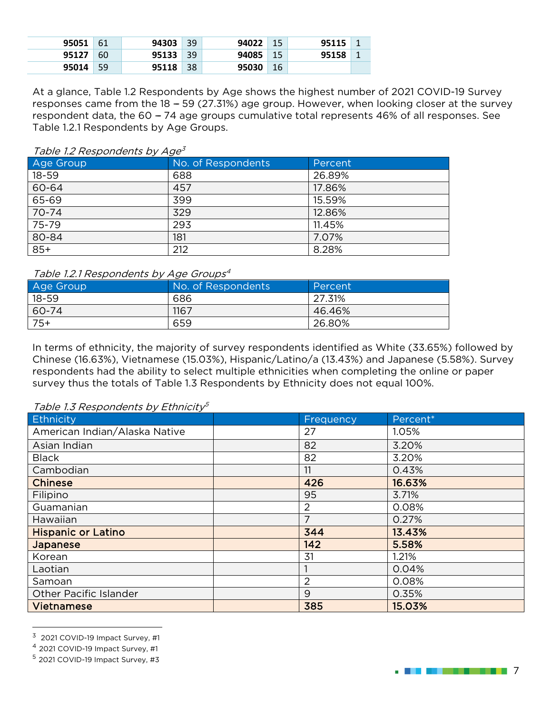| 95051 | - 61 | 94303 | 39 | 94022 | 15  | 95115 |  |
|-------|------|-------|----|-------|-----|-------|--|
| 95127 | -60  | 95133 | 39 | 94085 | -15 | 95158 |  |
| 95014 | -59  | 95118 | 38 | 95030 | -16 |       |  |

At a glance, Table 1.2 Respondents by Age shows the highest number of 2021 COVID-19 Survey responses came from the  $18 - 59$  (27.31%) age group. However, when looking closer at the survey respondent data, the 60 - 74 age groups cumulative total represents 46% of all responses. See Table 1.2.1 Respondents by Age Groups.

#### Table 1.2 Respondents by Age<sup>[3](#page-6-0)</sup>

| Age Group | No. of Respondents | Percent |
|-----------|--------------------|---------|
| $18 - 59$ | 688                | 26.89%  |
| 60-64     | 457                | 17.86%  |
| 65-69     | 399                | 15.59%  |
| 70-74     | 329                | 12.86%  |
| 75-79     | 293                | 11.45%  |
| 80-84     | 181                | 7.07%   |
| $85+$     | 212                | 8.28%   |

#### Table 1.2.1 Respondents by Age Groups<sup>[4](#page-6-1)</sup>

| Age Group | No. of Respondents | Percent |
|-----------|--------------------|---------|
| $18 - 59$ | 686                | 27.31%  |
| 60-74     | 1167               | 46.46%  |
| $75+$     | 659                | 26.80%  |

In terms of ethnicity, the majority of survey respondents identified as White (33.65%) followed by Chinese (16.63%), Vietnamese (15.03%), Hispanic/Latino/a (13.43%) and Japanese (5.58%). Survey respondents had the ability to select multiple ethnicities when completing the online or paper survey thus the totals of Table 1.3 Respondents by Ethnicity does not equal 100%.

Table 1.3 Respondents by Ethnicity<sup>[5](#page-6-2)</sup>

| Ethnicity                     | <b>Frequency</b> | Percent* |
|-------------------------------|------------------|----------|
| American Indian/Alaska Native | 27               | 1.05%    |
| Asian Indian                  | 82               | 3.20%    |
| <b>Black</b>                  | 82               | 3.20%    |
| Cambodian                     | 11               | 0.43%    |
| <b>Chinese</b>                | 426              | 16.63%   |
| Filipino                      | 95               | 3.71%    |
| Guamanian                     | 2                | 0.08%    |
| Hawaiian                      | 7                | 0.27%    |
| <b>Hispanic or Latino</b>     | 344              | 13.43%   |
| Japanese                      | 142              | 5.58%    |
| Korean                        | 31               | 1.21%    |
| Laotian                       |                  | 0.04%    |
| Samoan                        | 2                | 0.08%    |
| Other Pacific Islander        | 9                | 0.35%    |
| <b>Vietnamese</b>             | 385              | 15.03%   |

<span id="page-6-0"></span> $3$  2021 COVID-19 Impact Survey, #1

. **The the second contract of**  $7$ 

<span id="page-6-1"></span><sup>4</sup> 2021 COVID-19 Impact Survey, #1

<span id="page-6-2"></span><sup>5</sup> 2021 COVID-19 Impact Survey, #3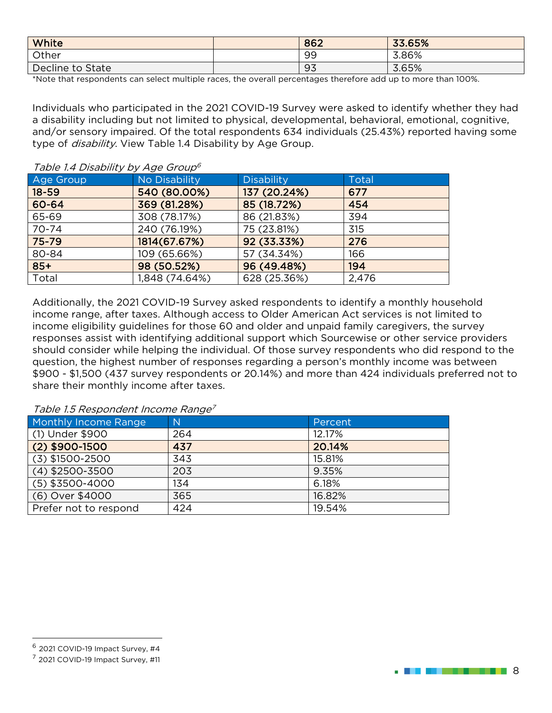| <b>White</b>     | 862 | 33.65% |
|------------------|-----|--------|
| Other            | 99  | 3.86%  |
| Decline to State | 93  | 3.65%  |

\*Note that respondents can select multiple races, the overall percentages therefore add up to more than 100%.

Individuals who participated in the 2021 COVID-19 Survey were asked to identify whether they had a disability including but not limited to physical, developmental, behavioral, emotional, cognitive, and/or sensory impaired. Of the total respondents 634 individuals (25.43%) reported having some type of *disability*. View Table 1.4 Disability by Age Group.

#### Table 1.4 Disability by Age Group<sup>[6](#page-7-0)</sup>

| Age Group | No Disability  | <b>Disability</b> | <b>Total</b> |
|-----------|----------------|-------------------|--------------|
| $18 - 59$ | 540 (80.00%)   | 137 (20.24%)      | 677          |
| 60-64     | 369 (81.28%)   | 85 (18.72%)       | 454          |
| 65-69     | 308 (78.17%)   | 86 (21.83%)       | 394          |
| 70-74     | 240 (76.19%)   | 75 (23.81%)       | 315          |
| 75-79     | 1814(67.67%)   | 92 (33.33%)       | 276          |
| 80-84     | 109 (65.66%)   | 57 (34.34%)       | 166          |
| $85+$     | 98 (50.52%)    | 96 (49.48%)       | 194          |
| Total     | 1,848 (74.64%) | 628 (25.36%)      | 2,476        |

Additionally, the 2021 COVID-19 Survey asked respondents to identify a monthly household income range, after taxes. Although access to Older American Act services is not limited to income eligibility guidelines for those 60 and older and unpaid family caregivers, the survey responses assist with identifying additional support which Sourcewise or other service providers should consider while helping the individual. Of those survey respondents who did respond to the question, the highest number of responses regarding a person's monthly income was between \$900 - \$1,500 (437 survey respondents or 20.14%) and more than 424 individuals preferred not to share their monthly income after taxes.

Table 1.5 Respondent Income Range<sup>[7](#page-7-1)</sup>

| Monthly Income Range  | N   | Percent |
|-----------------------|-----|---------|
| (1) Under \$900       | 264 | 12.17%  |
| $(2)$ \$900-1500      | 437 | 20.14%  |
| $(3)$ \$1500-2500     | 343 | 15.81%  |
| $(4)$ \$2500-3500     | 203 | 9.35%   |
| $(5)$ \$3500-4000     | 134 | 6.18%   |
| (6) Over \$4000       | 365 | 16.82%  |
| Prefer not to respond | 424 | 19.54%  |



<span id="page-7-0"></span> $6$  2021 COVID-19 Impact Survey, #4

<span id="page-7-1"></span> $<sup>7</sup>$  2021 COVID-19 Impact Survey, #11</sup>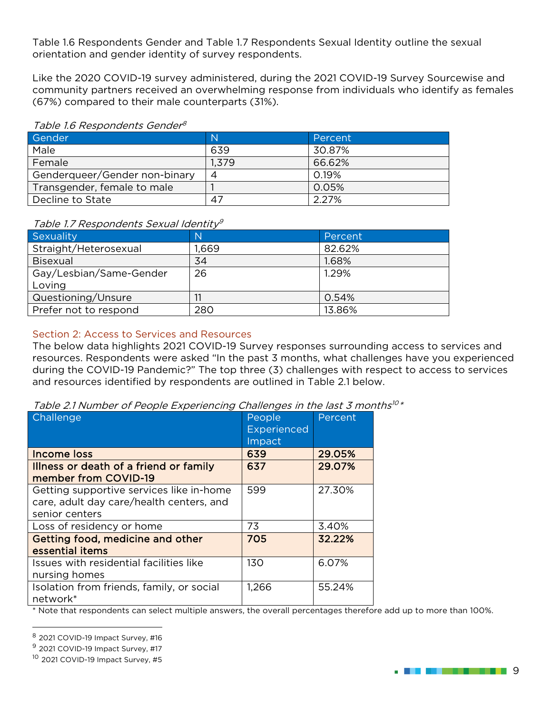Table 1.6 Respondents Gender and Table 1.7 Respondents Sexual Identity outline the sexual orientation and gender identity of survey respondents.

Like the 2020 COVID-19 survey administered, during the 2021 COVID-19 Survey Sourcewise and community partners received an overwhelming response from individuals who identify as females (67%) compared to their male counterparts (31%).

#### Table 1.6 Respondents Gender<sup>[8](#page-8-1)</sup>

| Gender                        | $\mathbb N$ | Percent |
|-------------------------------|-------------|---------|
| Male                          | 639         | 30.87%  |
| Female                        | 1,379       | 66.62%  |
| Genderqueer/Gender non-binary |             | 0.19%   |
| Transgender, female to male   |             | 0.05%   |
| Decline to State              | 47          | 2.27%   |

#### Table 1.7 Respondents Sexual Identitv<sup>[9](#page-8-2)</sup>

| Sexuality               | N     | Percent |
|-------------------------|-------|---------|
| Straight/Heterosexual   | 1,669 | 82.62%  |
| <b>Bisexual</b>         | 34    | 1.68%   |
| Gay/Lesbian/Same-Gender | 26    | 1.29%   |
| Loving                  |       |         |
| Questioning/Unsure      |       | 0.54%   |
| Prefer not to respond   | 280   | 13.86%  |

#### Section 2: Access to Services and Resources

The below data highlights 2021 COVID-19 Survey responses surrounding access to services and resources. Respondents were asked ''In the past 3 months, what challenges have you experienced during the COVID-19 Pandemic?'' The top three (3) challenges with respect to access to services and resources identified by respondents are outlined in Table 2.1 below.

<span id="page-8-0"></span>

| Table 2.1 Number of People Experiencing Challenges in the last 3 months <sup>10*</sup> |  |  |  |
|----------------------------------------------------------------------------------------|--|--|--|
|                                                                                        |  |  |  |

| <b>Challenge</b>                                                                                       | People<br><b>Experienced</b><br>Impact | Percent |
|--------------------------------------------------------------------------------------------------------|----------------------------------------|---------|
| Income loss                                                                                            | 639                                    | 29.05%  |
| Illness or death of a friend or family<br>member from COVID-19                                         | 637                                    | 29.07%  |
| Getting supportive services like in-home<br>care, adult day care/health centers, and<br>senior centers | 599                                    | 27.30%  |
| Loss of residency or home                                                                              | 73                                     | 3.40%   |
| Getting food, medicine and other<br>essential items                                                    | 705                                    | 32.22%  |
| Issues with residential facilities like<br>nursing homes                                               | 130                                    | 6.07%   |
| Isolation from friends, family, or social<br>network*                                                  | 1,266                                  | 55.24%  |

\* Note that respondents can select multiple answers, the overall percentages therefore add up to more than 100%.

**. Bernard Harry 19** 

<span id="page-8-1"></span><sup>8</sup> 2021 COVID-19 Impact Survey, #16

<span id="page-8-2"></span><sup>&</sup>lt;sup>9</sup> 2021 COVID-19 Impact Survey, #17

<span id="page-8-3"></span><sup>&</sup>lt;sup>10</sup> 2021 COVID-19 Impact Survey, #5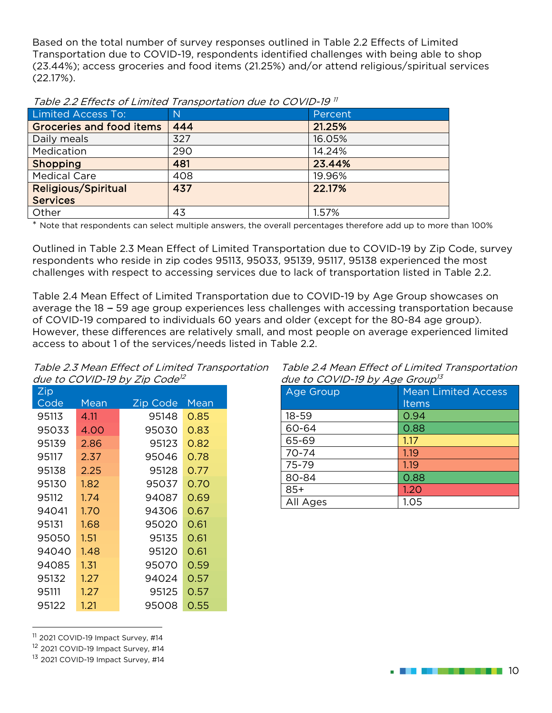Based on the total number of survey responses outlined in Table 2.2 Effects of Limited Transportation due to COVID-19, respondents identified challenges with being able to shop (23.44%); access groceries and food items (21.25%) and/or attend religious/spiritual services (22.17%).

| Limited Access To:              | $\mathsf{N}$ | Percent |
|---------------------------------|--------------|---------|
| <b>Groceries and food items</b> | 444          | 21.25%  |
| Daily meals                     | 327          | 16.05%  |
| Medication                      | 290          | 14.24%  |
| Shopping                        | 481          | 23.44%  |
| <b>Medical Care</b>             | 408          | 19.96%  |
| <b>Religious/Spiritual</b>      | 437          | 22.17%  |
| <b>Services</b>                 |              |         |
| Other                           | 43           | 1.57%   |

<span id="page-9-0"></span>Table 2.2 Effects of Limited Transportation due to COVID-19 [11](#page-9-1)

Note that respondents can select multiple answers, the overall percentages therefore add up to more than 100%

Outlined in Table 2.3 Mean Effect of Limited Transportation due to COVID-19 by Zip Code, survey respondents who reside in zip codes 95113, 95033, 95139, 95117, 95138 experienced the most challenges with respect to accessing services due to lack of transportation listed in Table 2.2.

Table 2.4 Mean Effect of Limited Transportation due to COVID-19 by Age Group showcases on average the 18 - 59 age group experiences less challenges with accessing transportation because of COVID-19 compared to individuals 60 years and older (except for the 80-84 age group). However, these differences are relatively small, and most people on average experienced limited access to about 1 of the services/needs listed in Table 2.2.

Table 2.3 Mean Effect of Limited Transportation due to COVID-19 by Zip Code<sup>[12](#page-9-2)</sup>

| Zip   |      |          |      |
|-------|------|----------|------|
| Code  | Mean | Zip Code | Mean |
| 95113 | 4.11 | 95148    | 0.85 |
| 95033 | 4.00 | 95030    | 0.83 |
| 95139 | 2.86 | 95123    | 0.82 |
| 95117 | 2.37 | 95046    | 0.78 |
| 95138 | 2.25 | 95128    | 0.77 |
| 95130 | 1.82 | 95037    | 0.70 |
| 95112 | 1.74 | 94087    | 0.69 |
| 94041 | 1.70 | 94306    | 0.67 |
| 95131 | 1.68 | 95020    | 0.61 |
| 95050 | 1.51 | 95135    | 0.61 |
| 94040 | 1.48 | 95120    | 0.61 |
| 94085 | 1.31 | 95070    | 0.59 |
| 95132 | 1.27 | 94024    | 0.57 |
| 95111 | 1.27 | 95125    | 0.57 |
| 95122 | 1.21 | 95008    | 0.55 |

Table 2.4 Mean Effect of Limited Transportation  $d\mu$ e to COVID-19 by Age Group<sup>[13](#page-9-3)</sup>

| aac to oo mar to long in order |                            |
|--------------------------------|----------------------------|
| Age Group                      | <b>Mean Limited Access</b> |
|                                | Items                      |
| $18 - 59$                      | 0.94                       |
| 60-64                          | 0.88                       |
| 65-69                          | 1.17                       |
| 70-74                          | 1.19                       |
| 75-79                          | 1.19                       |
| 80-84                          | 0.88                       |
| $85+$                          | 1.20                       |
| All Ages                       | 1.05                       |
|                                |                            |

<span id="page-9-1"></span><sup>11</sup> 2021 COVID-19 Impact Survey, #14

<span id="page-9-2"></span><sup>12</sup> 2021 COVID-19 Impact Survey, #14

<span id="page-9-3"></span><sup>13</sup> 2021 COVID-19 Impact Survey, #14

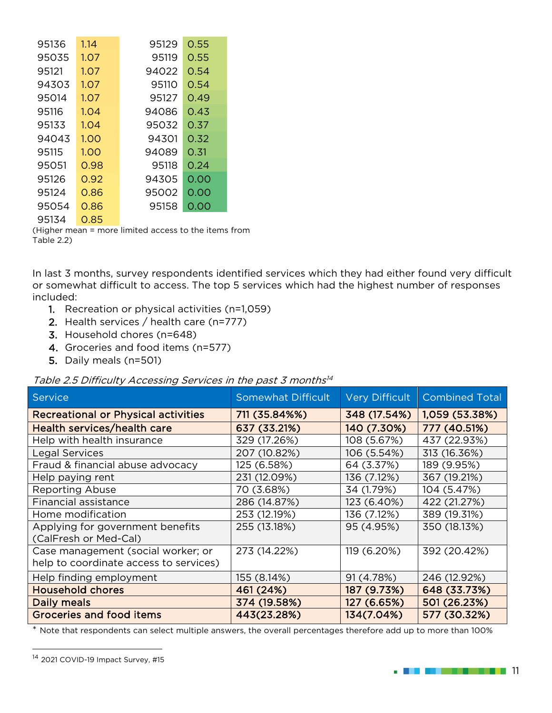| 95136 | 1.14 | 95129 | 0.55 |
|-------|------|-------|------|
| 95035 | 1.07 | 95119 | 0.55 |
| 95121 | 1.07 | 94022 | 0.54 |
| 94303 | 1.07 | 95110 | 0.54 |
| 95014 | 1.07 | 95127 | 0.49 |
| 95116 | 1.04 | 94086 | 0.43 |
| 95133 | 1.04 | 95032 | 0.37 |
| 94043 | 1.00 | 94301 | 0.32 |
| 95115 | 1.00 | 94089 | 0.31 |
| 95051 | 0.98 | 95118 | 0.24 |
| 95126 | 0.92 | 94305 | 0.00 |
| 95124 | 0.86 | 95002 | 0.00 |
| 95054 | 0.86 | 95158 | 0.00 |
| 95134 | 0.85 |       |      |

(Higher mean = more limited access to the items from Table 2.2)

In last 3 months, survey respondents identified services which they had either found very difficult or somewhat difficult to access. The top 5 services which had the highest number of responses included:

- 1. Recreation or physical activities (n=1,059)
- 2. Health services / health care (n=777)
- 3. Household chores (n=648)
- 4. Groceries and food items (n=577)
- 5. Daily meals (n=501)

Table 2.5 Difficulty Accessing Services in the past 3 months<sup>[14](#page-10-0)</sup>

| rapid Elo Birnoalty 7 looddonii y oor riddo in tho paot o mionthic           |                           |                       |                       |
|------------------------------------------------------------------------------|---------------------------|-----------------------|-----------------------|
| Service                                                                      | <b>Somewhat Difficult</b> | <b>Very Difficult</b> | <b>Combined Total</b> |
| <b>Recreational or Physical activities</b>                                   | 711 (35.84%%)             | 348 (17.54%)          | 1,059 (53.38%)        |
| Health services/health care                                                  | 637 (33.21%)              | 140 (7.30%)           | 777 (40.51%)          |
| Help with health insurance                                                   | 329 (17.26%)              | 108 (5.67%)           | 437 (22.93%)          |
| <b>Legal Services</b>                                                        | 207 (10.82%)              | 106 (5.54%)           | 313 (16.36%)          |
| Fraud & financial abuse advocacy                                             | 125 (6.58%)               | 64 (3.37%)            | 189 (9.95%)           |
| Help paying rent                                                             | 231 (12.09%)              | 136 (7.12%)           | 367 (19.21%)          |
| <b>Reporting Abuse</b>                                                       | 70 (3.68%)                | 34 (1.79%)            | 104 (5.47%)           |
| Financial assistance                                                         | 286 (14.87%)              | 123 (6.40%)           | 422 (21.27%)          |
| Home modification                                                            | 253 (12.19%)              | 136 (7.12%)           | 389 (19.31%)          |
| Applying for government benefits<br>(CalFresh or Med-Cal)                    | 255 (13.18%)              | 95 (4.95%)            | 350 (18.13%)          |
| Case management (social worker; or<br>help to coordinate access to services) | 273 (14.22%)              | 119 (6.20%)           | 392 (20.42%)          |
| Help finding employment                                                      | 155 (8.14%)               | 91 (4.78%)            | 246 (12.92%)          |
| <b>Household chores</b>                                                      | 461 (24%)                 | 187 (9.73%)           | 648 (33.73%)          |
| Daily meals                                                                  | 374 (19.58%)              | 127 (6.65%)           | 501 (26.23%)          |
| <b>Groceries and food items</b>                                              | 443(23.28%)               | 134(7.04%)            | 577 (30.32%)          |

\* Note that respondents can select multiple answers, the overall percentages therefore add up to more than 100%



<span id="page-10-0"></span><sup>&</sup>lt;sup>14</sup> 2021 COVID-19 Impact Survey, #15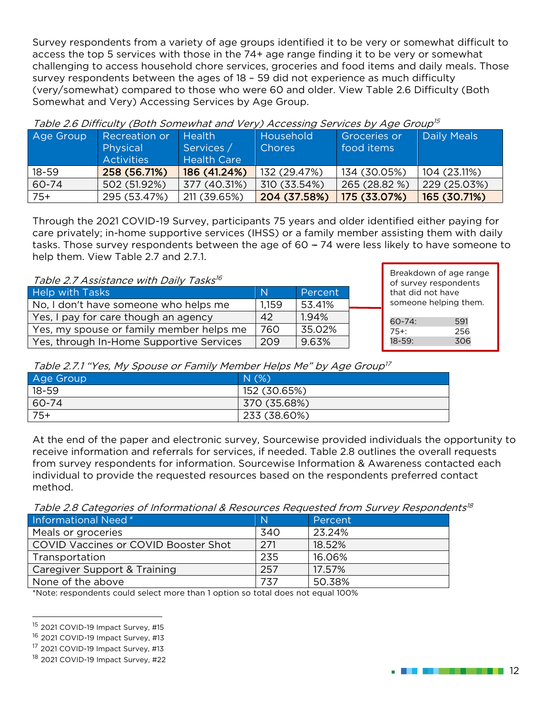Survey respondents from a variety of age groups identified it to be very or somewhat difficult to access the top 5 services with those in the 74+ age range finding it to be very or somewhat challenging to access household chore services, groceries and food items and daily meals. Those survey respondents between the ages of 18 – 59 did not experience as much difficulty (very/somewhat) compared to those who were 60 and older. View Table 2.6 Difficulty (Both Somewhat and Very) Accessing Services by Age Group.

| Age Group | <b>Recreation or</b><br>Physical<br><b>Activities</b> | <b>Health</b><br>Services /<br><b>Health Care</b> | Household<br><b>Chores</b> | Groceries or<br>food items | <b>Daily Meals</b> |
|-----------|-------------------------------------------------------|---------------------------------------------------|----------------------------|----------------------------|--------------------|
| $18 - 59$ | 258 (56.71%)                                          | 186 (41.24%)                                      | 132 (29.47%)               | 134 (30.05%)               | 104 (23.11%)       |
| 60-74     | 502 (51.92%)                                          | 377(40.31%)                                       | 310 (33.54%)               | 265 (28.82 %)              | 229(25.03%)        |
| $75+$     | 295 (53.47%)                                          | 211 (39.65%)                                      | 204 (37.58%)               | 175 (33.07%)               | 165 (30.71%)       |

<span id="page-11-0"></span>Table 2.6 Difficulty (Both Somewhat and Very) Accessing Services by Age Group[15](#page-11-1)

Through the 2021 COVID-19 Survey, participants 75 years and older identified either paying for care privately; in-home supportive services (IHSS) or a family member assisting them with daily tasks. Those survey respondents between the age of 60 – 74 were less likely to have someone to help them. View Table 2.7 and 2.7.1.

Table 2.7 Assistance with Daily Tasks[16](#page-11-2)

| <u>rapic 2.7 hoolotanee with Dany raono</u> |       |         |  |
|---------------------------------------------|-------|---------|--|
| Help with Tasks                             | -N    | Percent |  |
| No, I don't have someone who helps me       | 1,159 | 53.41%  |  |
| Yes, I pay for care though an agency        | 42    | 1.94%   |  |
| Yes, my spouse or family member helps me    | 760   | 35.02%  |  |
| Yes, through In-Home Supportive Services    | 209   | 9.63%   |  |

| of survey respondents<br>that did not have<br>someone helping them. | Breakdown of age range |
|---------------------------------------------------------------------|------------------------|
| $60 - 74$ :<br>$75 +$                                               | 591                    |

18-59: 306

Table 2.7.1 "Yes, My Spouse or Family Member Helps Me" by Age Group<sup>[17](#page-11-3)</sup>

| Age Group | N(%)         |
|-----------|--------------|
| 18-59     | 152 (30.65%) |
| 60-74     | 370 (35.68%) |
| $75+$     | 233 (38.60%) |

At the end of the paper and electronic survey, Sourcewise provided individuals the opportunity to receive information and referrals for services, if needed. Table 2.8 outlines the overall requests from survey respondents for information. Sourcewise Information & Awareness contacted each individual to provide the requested resources based on the respondents preferred contact method.

Table 2.8 Categories of Informational & Resources Requested from Survey Respondents<sup>[18](#page-11-4)</sup>

| Informational Need*                         | N   | Percent |
|---------------------------------------------|-----|---------|
| Meals or groceries                          | 340 | 23.24%  |
| <b>COVID Vaccines or COVID Booster Shot</b> | 271 | 18.52%  |
| Transportation                              | 235 | 16.06%  |
| Caregiver Support & Training                | 257 | 17.57%  |
| None of the above                           | 737 | 50.38%  |

\*Note: respondents could select more than 1 option so total does not equal 100%



<span id="page-11-1"></span><sup>&</sup>lt;sup>15</sup> 2021 COVID-19 Impact Survey, #15

<span id="page-11-2"></span><sup>&</sup>lt;sup>16</sup> 2021 COVID-19 Impact Survey, #13

<span id="page-11-3"></span><sup>&</sup>lt;sup>17</sup> 2021 COVID-19 Impact Survey, #13

<span id="page-11-4"></span><sup>&</sup>lt;sup>18</sup> 2021 COVID-19 Impact Survey, #22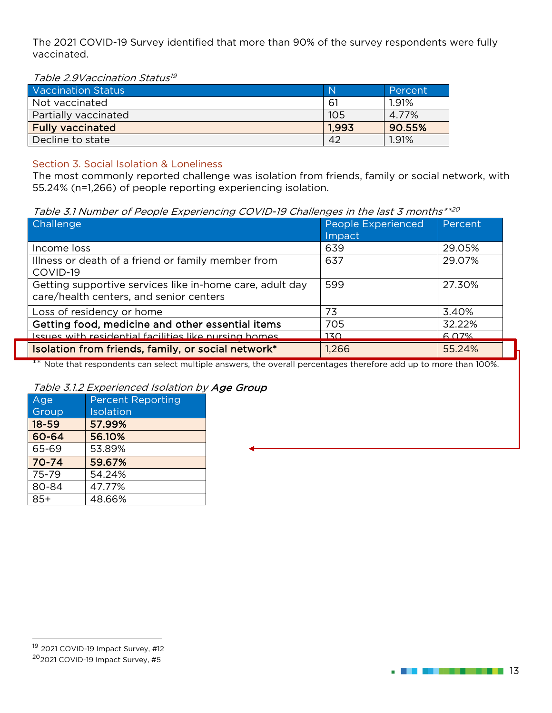The 2021 COVID-19 Survey identified that more than 90% of the survey respondents were fully vaccinated.

<span id="page-12-0"></span>Table 2.9 Vaccination Status<sup>[19](#page-12-2)</sup>

| Vaccination Status      | N     | Percent |
|-------------------------|-------|---------|
| Not vaccinated          | -61   | 1.91%   |
| Partially vaccinated    | 105   | 4.77%   |
| <b>Fully vaccinated</b> | 1.993 | 90.55%  |
| Decline to state        | 42    | 1.91%   |

#### Section 3. Social Isolation & Loneliness

The most commonly reported challenge was isolation from friends, family or social network, with 55.24% (n=1,266) of people reporting experiencing isolation.

Table 3.1 Number of People Experiencing COVID-19 Challenges in the last 3 months\*\*[20](#page-12-3)

| Challenge                                                                                           | People Experienced<br>Impact | Percent |
|-----------------------------------------------------------------------------------------------------|------------------------------|---------|
| Income loss                                                                                         | 639                          | 29.05%  |
| Illness or death of a friend or family member from<br>COVID-19                                      | 637                          | 29.07%  |
| Getting supportive services like in-home care, adult day<br>care/health centers, and senior centers | 599                          | 27.30%  |
| Loss of residency or home                                                                           | 73                           | 3.40%   |
| Getting food, medicine and other essential items                                                    | 705                          | 32.22%  |
| Issues with residential facilities like nursing homes                                               | 17 <sub>O</sub>              | 6.07%   |
| Isolation from friends, family, or social network*                                                  | 1,266                        | 55.24%  |

\*\* Note that respondents can select multiple answers, the overall percentages therefore add up to more than 100%.

#### <span id="page-12-1"></span>Table 3.1.2 Experienced Isolation by Age Group

| Age       | <b>Percent Reporting</b> |
|-----------|--------------------------|
| Group     | Isolation                |
| $18 - 59$ | 57.99%                   |
| 60-64     | 56.10%                   |
| 65-69     | 53.89%                   |
| $70 - 74$ | 59.67%                   |
| 75-79     | 54.24%                   |
| 80-84     | 47.77%                   |
| $85+$     | 48.66%                   |



<span id="page-12-3"></span><span id="page-12-2"></span><sup>19</sup> 2021 COVID-19 Impact Survey, #12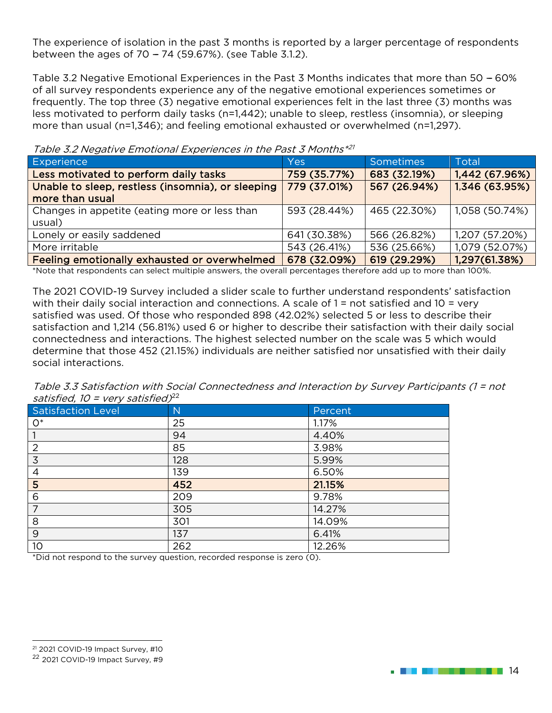The experience of isolation in the past 3 months is reported by a larger percentage of respondents between the ages of  $70 - 74$  (59.67%). (see Table 3.1.2).

Table 3.2 Negative Emotional Experiences in the Past 3 Months indicates that more than 50 - 60% of all survey respondents experience any of the negative emotional experiences sometimes or frequently. The top three (3) negative emotional experiences felt in the last three (3) months was less motivated to perform daily tasks (n=1,442); unable to sleep, restless (insomnia), or sleeping more than usual (n=1,346); and feeling emotional exhausted or overwhelmed (n=1,297).

| Table 3.2 Negative Emotional Experiences in the Past 3 Months <sup>24</sup> |              |              |                |  |
|-----------------------------------------------------------------------------|--------------|--------------|----------------|--|
| <b>Experience</b>                                                           | <b>Yes</b>   | Sometimes    | Total          |  |
| Less motivated to perform daily tasks                                       | 759 (35.77%) | 683 (32.19%) | 1,442(67.96%)  |  |
| Unable to sleep, restless (insomnia), or sleeping                           | 779 (37.01%) | 567 (26.94%) | 1,346 (63.95%) |  |
| more than usual                                                             |              |              |                |  |
| Changes in appetite (eating more or less than                               | 593 (28.44%) | 465 (22.30%) | 1,058 (50.74%) |  |
| usual)                                                                      |              |              |                |  |
| Lonely or easily saddened                                                   | 641 (30.38%) | 566 (26.82%) | 1,207 (57.20%) |  |
| More irritable                                                              | 543 (26.41%) | 536 (25.66%) | 1,079 (52.07%) |  |
| Feeling emotionally exhausted or overwhelmed                                | 678 (32.09%) | 619 (29.29%) | 1,297(61.38%)  |  |

Table 3.2 Negative Emotional Experiences in the Past 3 Months\*[21](#page-13-1)

\*Note that respondents can select multiple answers, the overall percentages therefore add up to more than 100%.

The 2021 COVID-19 Survey included a slider scale to further understand respondents' satisfaction with their daily social interaction and connections. A scale of  $1 =$  not satisfied and  $10 =$  very satisfied was used. Of those who responded 898 (42.02%) selected 5 or less to describe their satisfaction and 1,214 (56.81%) used 6 or higher to describe their satisfaction with their daily social connectedness and interactions. The highest selected number on the scale was 5 which would determine that those 452 (21.15%) individuals are neither satisfied nor unsatisfied with their daily social interactions.

<span id="page-13-0"></span>Table 3.3 Satisfaction with Social Connectedness and Interaction by Survey Participants (1 = not satisfied,  $10 = \text{very satisfied}$ )<sup>[22](#page-13-2)</sup>

| Satisfaction Level | $\overline{\phantom{a}}$<br>N | Percent |
|--------------------|-------------------------------|---------|
| $O^*$              | 25                            | 1.17%   |
|                    | 94                            | 4.40%   |
| $\overline{2}$     | 85                            | 3.98%   |
| 3                  | 128                           | 5.99%   |
| $\overline{4}$     | 139                           | 6.50%   |
| 5                  | 452                           | 21.15%  |
| 6                  | 209                           | 9.78%   |
| 7                  | 305                           | 14.27%  |
| 8                  | 301                           | 14.09%  |
| 9                  | 137                           | 6.41%   |
| 10                 | 262                           | 12.26%  |

\*Did not respond to the survey question, recorded response is zero (0).



<span id="page-13-1"></span><sup>21</sup> 2021 COVID-19 Impact Survey, #10

<span id="page-13-2"></span><sup>22</sup> 2021 COVID-19 Impact Survey, #9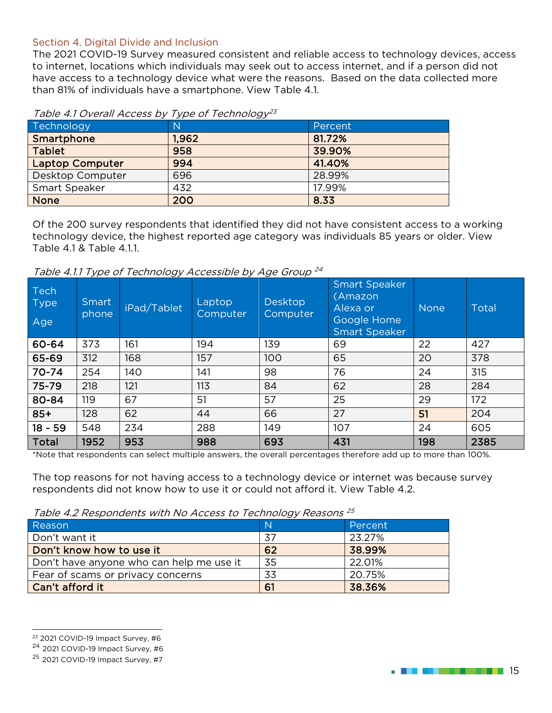#### Section 4. Digital Divide and Inclusion

The 2021 COVID-19 Survey measured consistent and reliable access to technology devices, access to internet, locations which individuals may seek out to access internet, and if a person did not have access to a technology device what were the reasons. Based on the data collected more than 81% of individuals have a smartphone. View Table 4.1.

| Technology             | $\mathbb N$ | Percent |
|------------------------|-------------|---------|
| Smartphone             | 1.962       | 81.72%  |
| <b>Tablet</b>          | 958         | 39.90%  |
| <b>Laptop Computer</b> | 994         | 41.40%  |
| Desktop Computer       | 696         | 28.99%  |
| Smart Speaker          | 432         | 17.99%  |
| <b>None</b>            | 200         | 8.33    |

#### <span id="page-14-0"></span>Table 4.1 Overall Access by Type of Technology<sup>[23](#page-14-2)</sup>

Of the 200 survey respondents that identified they did not have consistent access to a working technology device, the highest reported age category was individuals 85 years or older. View Table 4.1 & Table 4.1.1.

Table 4.1.1 Type of Technology Accessible by Age Group<sup>[24](#page-14-3)</sup>

| <b>Tech</b><br><b>Type</b><br>Age | Smart<br>phone | iPad/Tablet | Laptop<br>Computer | <b>Desktop</b><br>Computer | <b>Smart Speaker</b><br>(Amazon)<br>Alexa or<br>Google Home<br><b>Smart Speaker</b> | <b>None</b> | Total |
|-----------------------------------|----------------|-------------|--------------------|----------------------------|-------------------------------------------------------------------------------------|-------------|-------|
| 60-64                             | 373            | 161         | 194                | 139                        | 69                                                                                  | 22          | 427   |
| 65-69                             | 312            | 168         | 157                | 100                        | 65                                                                                  | 20          | 378   |
| $70 - 74$                         | 254            | 140         | 141                | 98                         | 76                                                                                  | 24          | 315   |
| 75-79                             | 218            | 121         | 113                | 84                         | 62                                                                                  | 28          | 284   |
| 80-84                             | 119            | 67          | 51                 | 57                         | 25                                                                                  | 29          | 172   |
| $85+$                             | 128            | 62          | 44                 | 66                         | 27                                                                                  | 51          | 204   |
| $18 - 59$                         | 548            | 234         | 288                | 149                        | 107                                                                                 | 24          | 605   |
| <b>Total</b>                      | 1952           | 953         | 988                | 693                        | 431                                                                                 | 198         | 2385  |

\*Note that respondents can select multiple answers, the overall percentages therefore add up to more than 100%.

The top reasons for not having access to a technology device or internet was because survey respondents did not know how to use it or could not afford it. View Table 4.2.

<span id="page-14-1"></span>Table 4.2 Respondents with No Access to Technology Reasons [25](#page-14-4)

| Reason                                   | $\mathbb N$ | Percent |
|------------------------------------------|-------------|---------|
| Don't want it                            | 37          | 23.27%  |
| Don't know how to use it                 | 62          | 38.99%  |
| Don't have anyone who can help me use it | 35          | 22.01%  |
| Fear of scams or privacy concerns        | 33          | 20.75%  |
| Can't afford it                          | 61          | 38.36%  |



<span id="page-14-2"></span><sup>23</sup> 2021 COVID-19 Impact Survey, #6

<span id="page-14-3"></span><sup>24</sup> 2021 COVID-19 Impact Survey, #6

<span id="page-14-4"></span><sup>25</sup> 2021 COVID-19 Impact Survey, #7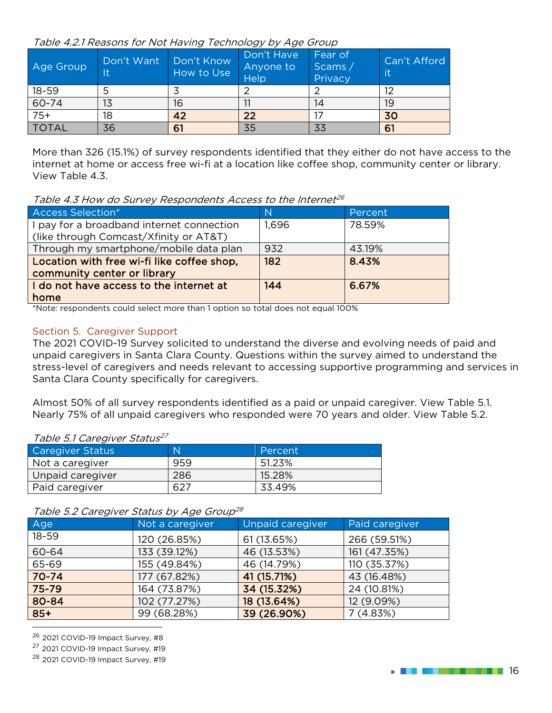Table 4.2.1 Reasons for Not Having Technology by Age Group

| Age Group    | Don't Want<br>It | Don't Know<br>How to Use | Don't Have<br>Anyone to<br>Help | Fear of<br>Scams /<br>Privacy | Can't Afford<br>lit |
|--------------|------------------|--------------------------|---------------------------------|-------------------------------|---------------------|
| $18 - 59$    |                  |                          |                                 |                               | 12                  |
| 60-74        | 13               | 16                       |                                 | 14                            | 19                  |
| $75+$        | 18               | 42                       | 22                              |                               | 30                  |
| <b>TOTAL</b> | 36               | 61                       | 35                              | 33                            | 61                  |

More than 326 (15.1%) of survey respondents identified that they either do not have access to the internet at home or access free wi-fi at a location like coffee shop, community center or library. View Table 4.3.

<span id="page-15-0"></span>Table 4.3 How do Survey Respondents Access to the Internet  $2^6$ 

| <b>Access Selection*</b>                   | N     | Percent |
|--------------------------------------------|-------|---------|
| I pay for a broadband internet connection  | 1,696 | 78.59%  |
| (like through Comcast/Xfinity or AT&T)     |       |         |
| Through my smartphone/mobile data plan     | 932   | 43.19%  |
| Location with free wi-fi like coffee shop, | 182   | 8.43%   |
| community center or library                |       |         |
| I do not have access to the internet at    | 144   | 6.67%   |
| home                                       |       |         |

\*Note: respondents could select more than 1 option so total does not equal 100%

#### Section 5. Caregiver Support

The 2021 COVID-19 Survey solicited to understand the diverse and evolving needs of paid and unpaid caregivers in Santa Clara County. Questions within the survey aimed to understand the stress-level of caregivers and needs relevant to accessing supportive programming and services in Santa Clara County specifically for caregivers.

Almost 50% of all survey respondents identified as a paid or unpaid caregiver. View Table 5.1. Nearly 75% of all unpaid caregivers who responded were 70 years and older. View Table 5.2.

#### <span id="page-15-1"></span>Table 5.1 Caregiver Status<sup>[27](#page-15-3)</sup>

| <b>Caregiver Status</b> | N    | Percent |
|-------------------------|------|---------|
| Not a caregiver         | 959  | 51.23%  |
| Unpaid caregiver        | 286  | 15.28%  |
| Paid caregiver          | -627 | 33.49%  |

#### Table 5.2 Caregiver Status by Age Group[28](#page-15-4)

| Age       | Not a caregiver | Unpaid caregiver | Paid caregiver |
|-----------|-----------------|------------------|----------------|
| $18 - 59$ | 120 (26.85%)    | 61 (13.65%)      | 266 (59.51%)   |
| 60-64     | 133 (39.12%)    | 46 (13.53%)      | 161 (47.35%)   |
| 65-69     | 155 (49.84%)    | 46 (14.79%)      | 110 (35.37%)   |
| $70 - 74$ | 177 (67.82%)    | 41 (15.71%)      | 43 (16.48%)    |
| 75-79     | 164 (73.87%)    | 34 (15.32%)      | 24 (10.81%)    |
| 80-84     | 102 (77.27%)    | 18 (13.64%)      | 12 (9.09%)     |
| $85+$     | 99 (68.28%)     | 39 (26.90%)      | 7(4.83%)       |

<span id="page-15-2"></span><sup>26</sup> 2021 COVID-19 Impact Survey, #8

<span id="page-15-3"></span><sup>27</sup> 2021 COVID-19 Impact Survey, #19

<span id="page-15-4"></span><sup>28</sup> 2021 COVID-19 Impact Survey, #19

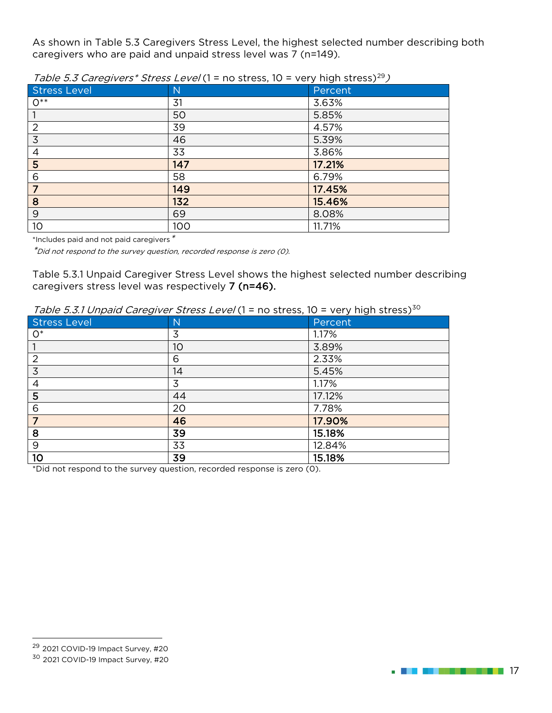As shown in Table 5.3 Caregivers Stress Level, the highest selected number describing both caregivers who are paid and unpaid stress level was 7 (n=149).

|                     | .            |         |
|---------------------|--------------|---------|
| <b>Stress Level</b> | $\mathsf{N}$ | Percent |
| $O^{**}$            | 31           | 3.63%   |
|                     | 50           | 5.85%   |
| $\overline{2}$      | 39           | 4.57%   |
| $\overline{3}$      | 46           | 5.39%   |
| $\overline{4}$      | 33           | 3.86%   |
| 5                   | 147          | 17.21%  |
| 6                   | 58           | 6.79%   |
| $\sqrt{7}$          | 149          | 17.45%  |
| 8                   | 132          | 15.46%  |
| 9                   | 69           | 8.08%   |
| 10                  | 100          | 11.71%  |

<span id="page-16-0"></span>Table 5.3 Caregivers\* Stress Level (1 = no stress, 10 = very high stress)<sup>[29](#page-16-1)</sup>)

\*Includes paid and not paid caregivers\*

\*Did not respond to the survey question, recorded response is zero (0).

Table 5.3.1 Unpaid Caregiver Stress Level shows the highest selected number describing caregivers stress level was respectively 7 (n=46).

| <i>Table 5.5.1 UIIpalu Caregiver Stress Level</i> (1 – 110 Stress, 10 – very High Stress <i>)</i> |    |         |  |
|---------------------------------------------------------------------------------------------------|----|---------|--|
| <b>Stress Level</b>                                                                               | N  | Percent |  |
| $O^*$                                                                                             | 3  | 1.17%   |  |
|                                                                                                   | 10 | 3.89%   |  |
| 2                                                                                                 | 6  | 2.33%   |  |
| $\overline{3}$                                                                                    | 14 | 5.45%   |  |
| 4                                                                                                 | 3  | 1.17%   |  |
| 5                                                                                                 | 44 | 17.12%  |  |
| 6                                                                                                 | 20 | 7.78%   |  |
| $\overline{7}$                                                                                    | 46 | 17.90%  |  |
| 8                                                                                                 | 39 | 15.18%  |  |
| 9                                                                                                 | 33 | 12.84%  |  |
| 10                                                                                                | 39 | 15.18%  |  |

Table 5.3.1 Unpaid Caregiver Stress Level (1 = no stress, 10 = very high stress)<sup>30</sup>

\*Did not respond to the survey question, recorded response is zero (0).



<span id="page-16-2"></span><span id="page-16-1"></span><sup>29</sup> 2021 COVID-19 Impact Survey, #20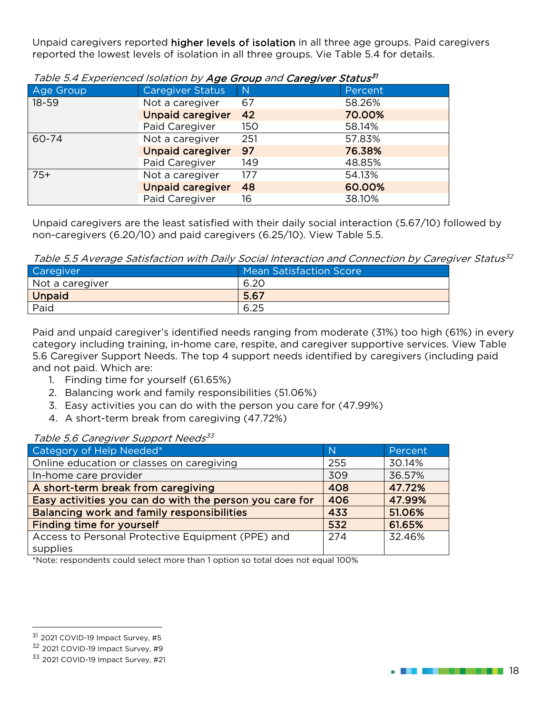Unpaid caregivers reported higher levels of isolation in all three age groups. Paid caregivers reported the lowest levels of isolation in all three groups. Vie Table 5.4 for details.

| Age Group | <b>Caregiver Status</b> | $\overline{N}$ | Percent |
|-----------|-------------------------|----------------|---------|
| $18 - 59$ | Not a caregiver         | 67             | 58.26%  |
|           | <b>Unpaid caregiver</b> | 42             | 70.00%  |
|           | Paid Caregiver          | 150            | 58.14%  |
| 60-74     | Not a caregiver         | 251            | 57.83%  |
|           | <b>Unpaid caregiver</b> | 97             | 76.38%  |
|           | Paid Caregiver          | 149            | 48.85%  |
| $75+$     | Not a caregiver         | 177            | 54.13%  |
|           | <b>Unpaid caregiver</b> | 48             | 60.00%  |
|           | Paid Caregiver          | 16             | 38.10%  |

<span id="page-17-0"></span>Table 5.4 Experienced Isolation by **Age Group** and **Caregiver Status<sup>[31](#page-17-2)</sup>** 

Unpaid caregivers are the least satisfied with their daily social interaction (5.67/10) followed by non-caregivers (6.20/10) and paid caregivers (6.25/10). View Table 5.5.

Table 5.5 Average Satisfaction with Daily Social Interaction and Connection by Caregiver Status<sup>[32](#page-17-3)</sup>

| Caregiver       | Mean Satisfaction Score |
|-----------------|-------------------------|
| Not a caregiver | 6.20                    |
| <b>Unpaid</b>   | 5.67                    |
| Paid            | 6.25                    |

Paid and unpaid caregiver's identified needs ranging from moderate (31%) too high (61%) in every category including training, in-home care, respite, and caregiver supportive services. View Table 5.6 Caregiver Support Needs. The top 4 support needs identified by caregivers (including paid and not paid. Which are:

- 1. Finding time for yourself (61.65%)
- 2. Balancing work and family responsibilities (51.06%)
- 3. Easy activities you can do with the person you care for (47.99%)
- 4. A short-term break from caregiving (47.72%)

#### <span id="page-17-1"></span>Table 5.6 Caregiver Support Needs<sup>[33](#page-17-4)</sup>

| Category of Help Needed*                                | N   | Percent |
|---------------------------------------------------------|-----|---------|
| Online education or classes on caregiving               | 255 | 30.14%  |
| In-home care provider                                   | 309 | 36.57%  |
| A short-term break from caregiving                      | 408 | 47.72%  |
| Easy activities you can do with the person you care for | 406 | 47.99%  |
| <b>Balancing work and family responsibilities</b>       | 433 | 51.06%  |
| <b>Finding time for yourself</b>                        | 532 | 61.65%  |
| Access to Personal Protective Equipment (PPE) and       | 274 | 32.46%  |
| supplies                                                |     |         |

\*Note: respondents could select more than 1 option so total does not equal 100%



<span id="page-17-2"></span><sup>&</sup>lt;sup>31</sup> 2021 COVID-19 Impact Survey, #5

<span id="page-17-3"></span><sup>32</sup> 2021 COVID-19 Impact Survey, #9

<span id="page-17-4"></span><sup>33 2021</sup> COVID-19 Impact Survey, #21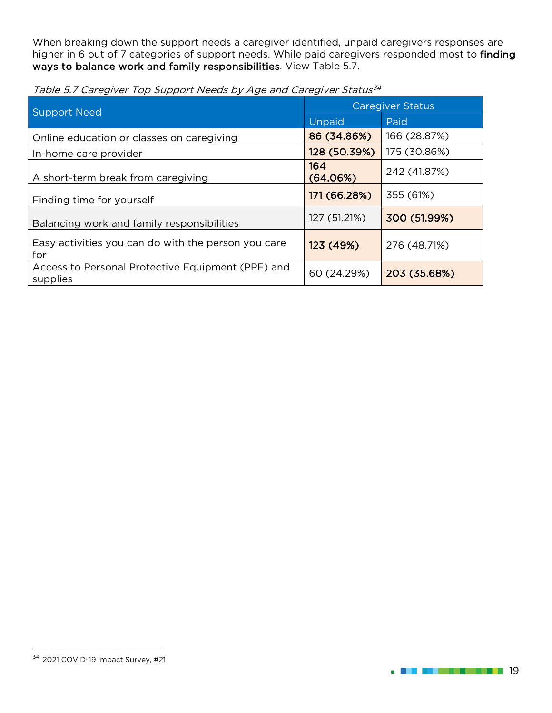When breaking down the support needs a caregiver identified, unpaid caregivers responses are higher in 6 out of 7 categories of support needs. While paid caregivers responded most to finding ways to balance work and family responsibilities. View Table 5.7.

<span id="page-18-0"></span>

|  |  |  | Table 5.7 Caregiver Top Support Needs by Age and Caregiver Status <sup>34</sup> |
|--|--|--|---------------------------------------------------------------------------------|
|--|--|--|---------------------------------------------------------------------------------|

| <b>Support Need</b>                                           | <b>Caregiver Status</b> |              |
|---------------------------------------------------------------|-------------------------|--------------|
|                                                               | Unpaid                  | Paid         |
| Online education or classes on caregiving                     | 86 (34.86%)             | 166 (28.87%) |
| In-home care provider                                         | 128 (50.39%)            | 175 (30.86%) |
| A short-term break from caregiving                            | 164<br>(64.06%)         | 242 (41.87%) |
| Finding time for yourself                                     | 171 (66.28%)            | 355 (61%)    |
| Balancing work and family responsibilities                    | 127 (51.21%)            | 300 (51.99%) |
| Easy activities you can do with the person you care<br>for    | 123 (49%)               | 276 (48.71%) |
| Access to Personal Protective Equipment (PPE) and<br>supplies | 60 (24.29%)             | 203 (35.68%) |



<span id="page-18-1"></span><sup>34</sup> 2021 COVID-19 Impact Survey, #21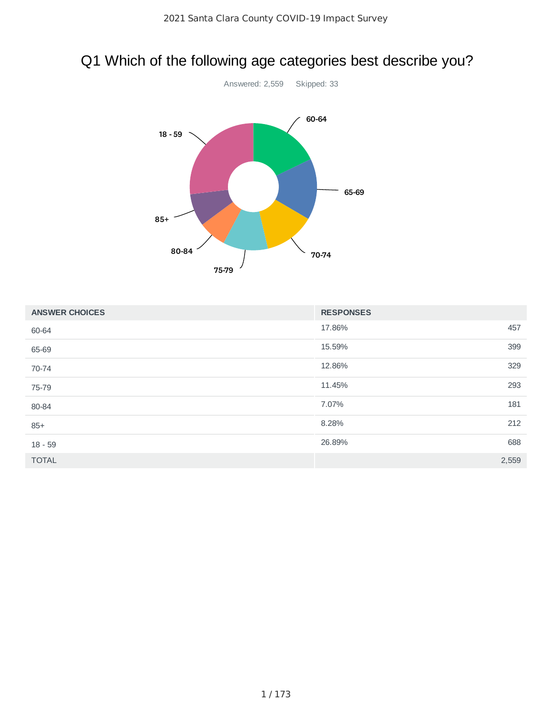# <span id="page-19-0"></span>Q1 Which of the following age categories best describe you?



| <b>ANSWER CHOICES</b> | <b>RESPONSES</b> |  |
|-----------------------|------------------|--|
| 60-64                 | 17.86%<br>457    |  |
| 65-69                 | 399<br>15.59%    |  |
| 70-74                 | 329<br>12.86%    |  |
| 75-79                 | 293<br>11.45%    |  |
| 80-84                 | 7.07%<br>181     |  |
| $85+$                 | 212<br>8.28%     |  |
| $18 - 59$             | 26.89%<br>688    |  |
| <b>TOTAL</b>          | 2,559            |  |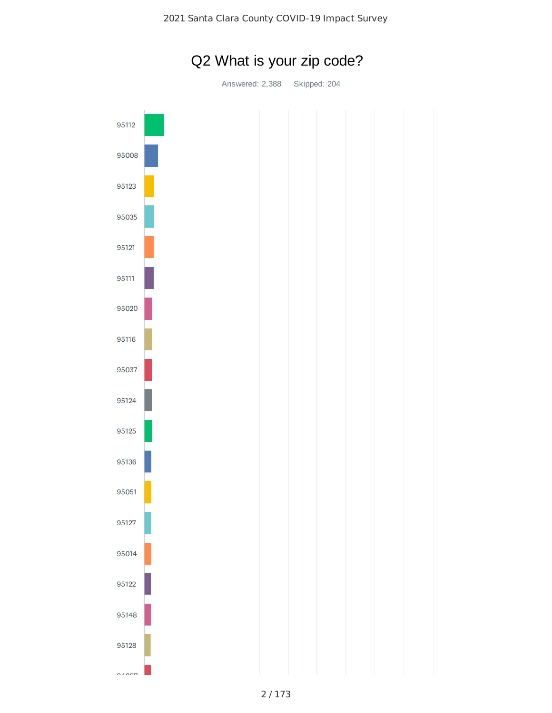

Q2 What is your zip code?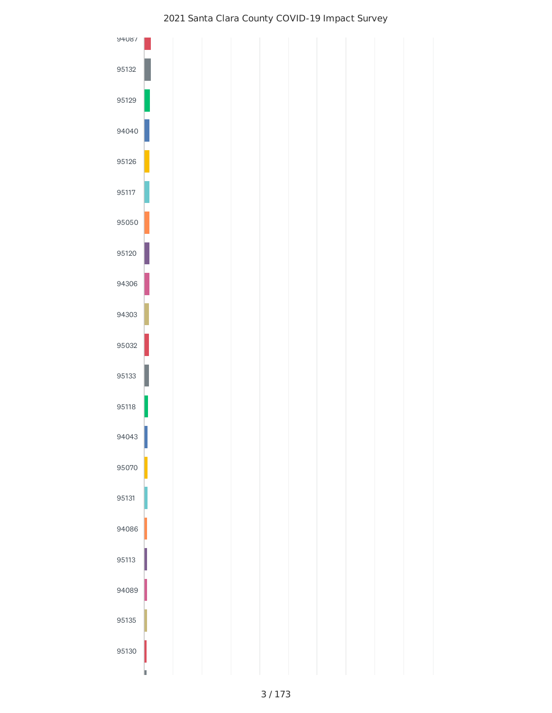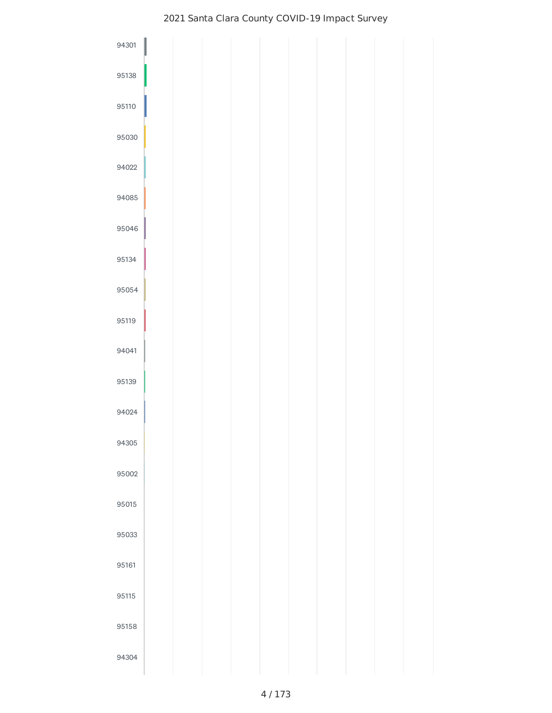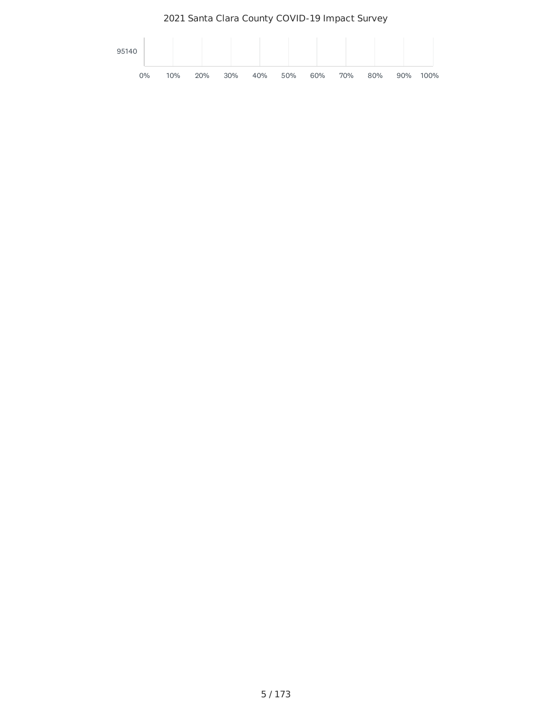Santa Clara County COVID-19 Impact Survey

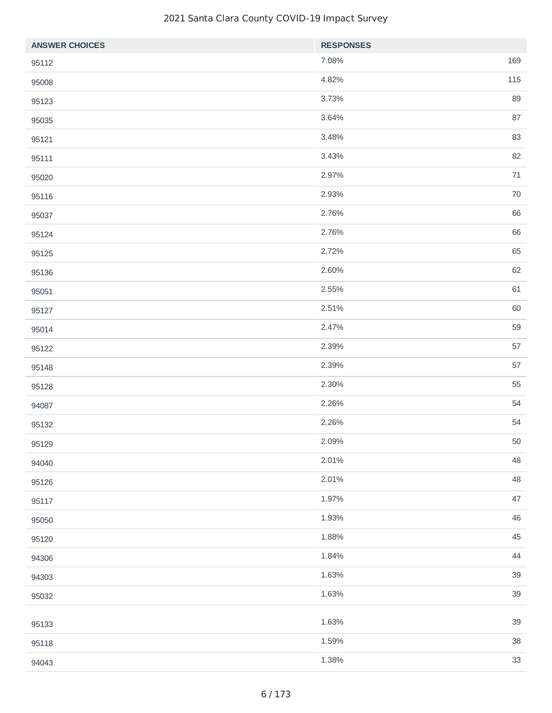| <b>ANSWER CHOICES</b> | <b>RESPONSES</b> |        |
|-----------------------|------------------|--------|
| 95112                 | 7.08%            | 169    |
| 95008                 | 4.82%            | 115    |
| 95123                 | 3.73%            | 89     |
| 95035                 | 3.64%            | 87     |
| 95121                 | 3.48%            | 83     |
| 95111                 | 3.43%            | 82     |
| 95020                 | 2.97%            | $71\,$ |
| 95116                 | 2.93%            | $70\,$ |
| 95037                 | 2.76%            | 66     |
| 95124                 | 2.76%            | 66     |
| 95125                 | 2.72%            | 65     |
| 95136                 | 2.60%            | 62     |
| 95051                 | 2.55%            | 61     |
| 95127                 | 2.51%            | 60     |
| 95014                 | 2.47%            | 59     |
| 95122                 | 2.39%            | 57     |
| 95148                 | 2.39%            | 57     |
| 95128                 | 2.30%            | 55     |
| 94087                 | 2.26%            | 54     |
| 95132                 | 2.26%            | 54     |
| 95129                 | 2.09%            | $50\,$ |
| 94040                 | 2.01%            | 48     |
| 95126                 | 2.01%            | 48     |
| 95117                 | 1.97%            | $47\,$ |
| 95050                 | 1.93%            | 46     |
| 95120                 | 1.88%            | 45     |
| 94306                 | 1.84%            | $44$   |
| 94303                 | 1.63%            | 39     |
| 95032                 | 1.63%            | 39     |
|                       | 1.63%            | 39     |
| 95133                 | 1.59%            | 38     |
| 95118                 | 1.38%            | 33     |
| 94043                 |                  |        |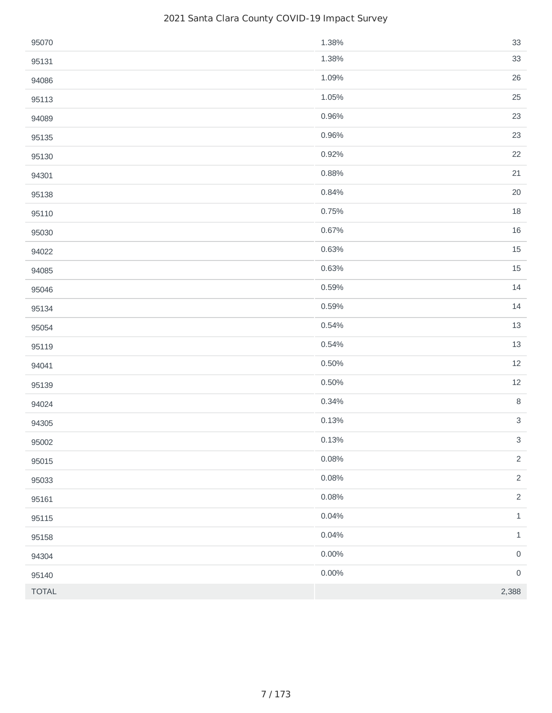| 95070        | 1.38%    | 33                         |
|--------------|----------|----------------------------|
| 95131        | 1.38%    | 33                         |
| 94086        | 1.09%    | 26                         |
| 95113        | 1.05%    | 25                         |
| 94089        | 0.96%    | 23                         |
| 95135        | 0.96%    | 23                         |
| 95130        | 0.92%    | 22                         |
| 94301        | 0.88%    | $21\,$                     |
| 95138        | 0.84%    | $20\,$                     |
| 95110        | 0.75%    | $18\,$                     |
| 95030        | 0.67%    | 16                         |
| 94022        | 0.63%    | 15                         |
| 94085        | 0.63%    | $15\,$                     |
| 95046        | 0.59%    | $14\,$                     |
| 95134        | 0.59%    | $14\,$                     |
| 95054        | 0.54%    | $13\,$                     |
| 95119        | 0.54%    | $13\,$                     |
| 94041        | 0.50%    | $12\,$                     |
| 95139        | 0.50%    | $12\,$                     |
| 94024        | 0.34%    | $\, 8$                     |
| 94305        | 0.13%    | $\mathsf 3$                |
| 95002        | 0.13%    | $\mathbf{3}$               |
| 95015        | 0.08%    | $\overline{c}$             |
| 95033        | 0.08%    | $\overline{c}$             |
| 95161        | 0.08%    | $\overline{2}$             |
| 95115        | 0.04%    | $\ensuremath{\mathbbm{1}}$ |
| 95158        | 0.04%    | $\ensuremath{\mathbbm{1}}$ |
| 94304        | $0.00\%$ | $\mathsf{O}\xspace$        |
| 95140        | $0.00\%$ | $\mathsf{O}\xspace$        |
| <b>TOTAL</b> |          | 2,388                      |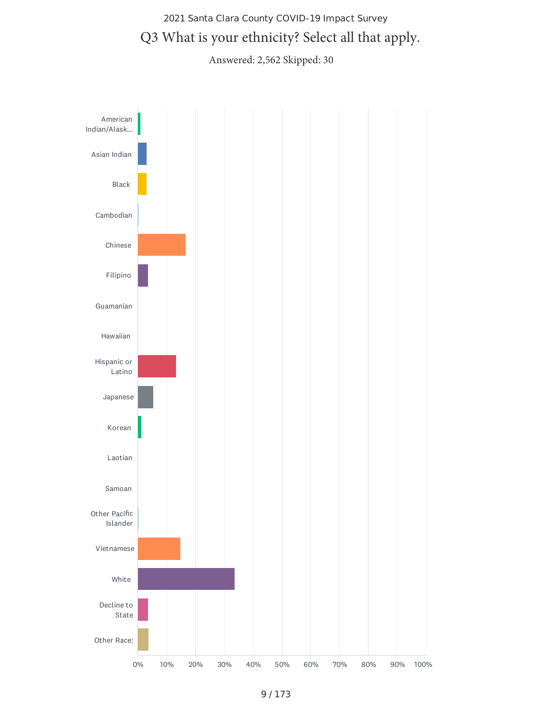# 2021 Santa Clara County COVID-19 Impact Survey Q3 What is your ethnicity? Select all that apply.

Answered: 2,562 Skipped: 30

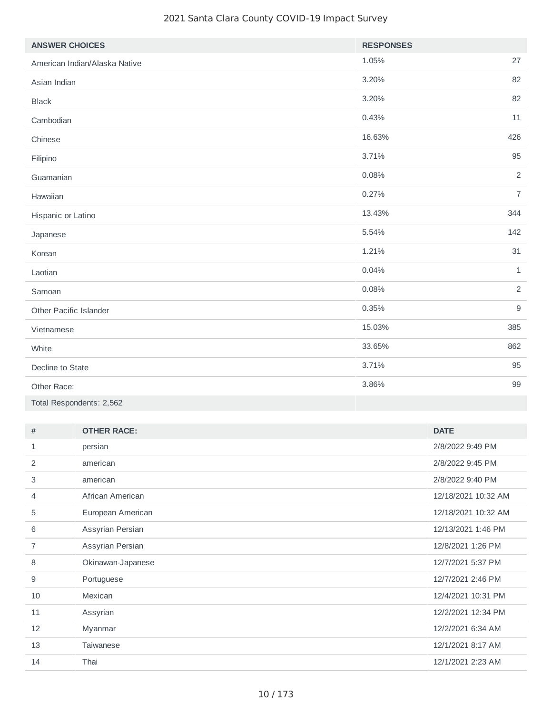| <b>ANSWER CHOICES</b>         | <b>RESPONSES</b> |                |
|-------------------------------|------------------|----------------|
| American Indian/Alaska Native | 1.05%            | 27             |
| Asian Indian                  | 3.20%            | 82             |
| <b>Black</b>                  | 3.20%            | 82             |
| Cambodian                     | 0.43%            | 11             |
| Chinese                       | 16.63%           | 426            |
| Filipino                      | 3.71%            | 95             |
| Guamanian                     | 0.08%            | $\overline{2}$ |
| Hawaiian                      | 0.27%            | $\overline{7}$ |
| Hispanic or Latino            | 13.43%           | 344            |
| Japanese                      | 5.54%            | 142            |
| Korean                        | 1.21%            | 31             |
| Laotian                       | 0.04%            | $\mathbf{1}$   |
| Samoan                        | 0.08%            | $\overline{2}$ |
| Other Pacific Islander        | 0.35%            | $\mathsf g$    |
| Vietnamese                    | 15.03%           | 385            |
| White                         | 33.65%           | 862            |
| Decline to State              | 3.71%            | 95             |
| Other Race:                   | 3.86%            | 99             |
| Total Respondents: 2,562      |                  |                |

| #  | <b>OTHER RACE:</b> | <b>DATE</b>         |
|----|--------------------|---------------------|
| 1  | persian            | 2/8/2022 9:49 PM    |
| 2  | american           | 2/8/2022 9:45 PM    |
| 3  | american           | 2/8/2022 9:40 PM    |
| 4  | African American   | 12/18/2021 10:32 AM |
| 5  | European American  | 12/18/2021 10:32 AM |
| 6  | Assyrian Persian   | 12/13/2021 1:46 PM  |
| 7  | Assyrian Persian   | 12/8/2021 1:26 PM   |
| 8  | Okinawan-Japanese  | 12/7/2021 5:37 PM   |
| 9  | Portuguese         | 12/7/2021 2:46 PM   |
| 10 | Mexican            | 12/4/2021 10:31 PM  |
| 11 | Assyrian           | 12/2/2021 12:34 PM  |
| 12 | Myanmar            | 12/2/2021 6:34 AM   |
| 13 | <b>Taiwanese</b>   | 12/1/2021 8:17 AM   |
| 14 | Thai               | 12/1/2021 2:23 AM   |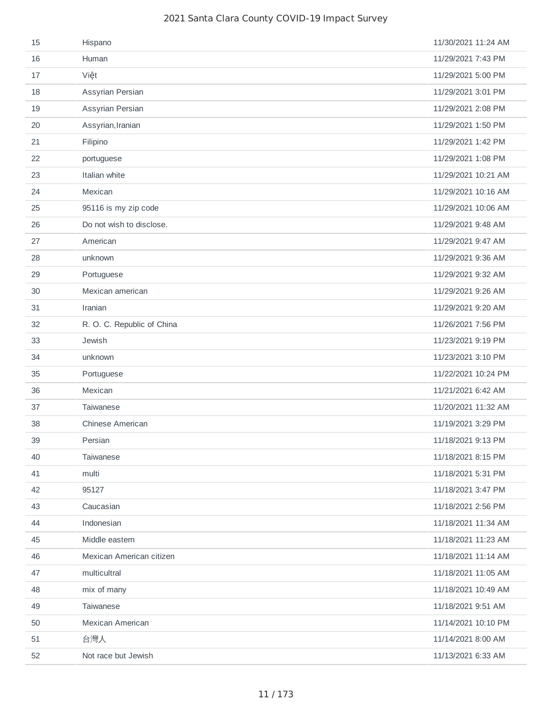| 15 | Hispano                    | 11/30/2021 11:24 AM |
|----|----------------------------|---------------------|
| 16 | Human                      | 11/29/2021 7:43 PM  |
| 17 | Việt                       | 11/29/2021 5:00 PM  |
| 18 | Assyrian Persian           | 11/29/2021 3:01 PM  |
| 19 | Assyrian Persian           | 11/29/2021 2:08 PM  |
| 20 | Assyrian, Iranian          | 11/29/2021 1:50 PM  |
| 21 | Filipino                   | 11/29/2021 1:42 PM  |
| 22 | portuguese                 | 11/29/2021 1:08 PM  |
| 23 | Italian white              | 11/29/2021 10:21 AM |
| 24 | Mexican                    | 11/29/2021 10:16 AM |
| 25 | 95116 is my zip code       | 11/29/2021 10:06 AM |
| 26 | Do not wish to disclose.   | 11/29/2021 9:48 AM  |
| 27 | American                   | 11/29/2021 9:47 AM  |
| 28 | unknown                    | 11/29/2021 9:36 AM  |
| 29 | Portuguese                 | 11/29/2021 9:32 AM  |
| 30 | Mexican american           | 11/29/2021 9:26 AM  |
| 31 | Iranian                    | 11/29/2021 9:20 AM  |
| 32 | R. O. C. Republic of China | 11/26/2021 7:56 PM  |
| 33 | Jewish                     | 11/23/2021 9:19 PM  |
| 34 | unknown                    | 11/23/2021 3:10 PM  |
| 35 | Portuguese                 | 11/22/2021 10:24 PM |
| 36 | Mexican                    | 11/21/2021 6:42 AM  |
| 37 | <b>Taiwanese</b>           | 11/20/2021 11:32 AM |
| 38 | Chinese American           | 11/19/2021 3:29 PM  |
| 39 | Persian                    | 11/18/2021 9:13 PM  |
| 40 | <b>Taiwanese</b>           | 11/18/2021 8:15 PM  |
| 41 | multi                      | 11/18/2021 5:31 PM  |
| 42 | 95127                      | 11/18/2021 3:47 PM  |
| 43 | Caucasian                  | 11/18/2021 2:56 PM  |
| 44 | Indonesian                 | 11/18/2021 11:34 AM |
| 45 | Middle eastern             | 11/18/2021 11:23 AM |
| 46 | Mexican American citizen   | 11/18/2021 11:14 AM |
| 47 | multicultral               | 11/18/2021 11:05 AM |
| 48 | mix of many                | 11/18/2021 10:49 AM |
| 49 | Taiwanese                  | 11/18/2021 9:51 AM  |
| 50 | Mexican American           | 11/14/2021 10:10 PM |
| 51 | 台灣人                        | 11/14/2021 8:00 AM  |
| 52 | Not race but Jewish        | 11/13/2021 6:33 AM  |
|    |                            |                     |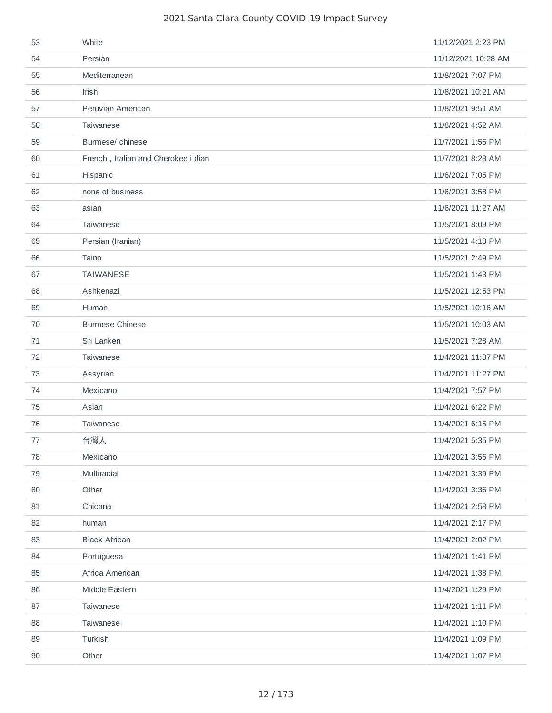| 53      | White                               | 11/12/2021 2:23 PM  |
|---------|-------------------------------------|---------------------|
| 54      | Persian                             | 11/12/2021 10:28 AM |
| 55      | Mediterranean                       | 11/8/2021 7:07 PM   |
| 56      | Irish                               | 11/8/2021 10:21 AM  |
| 57      | Peruvian American                   | 11/8/2021 9:51 AM   |
| 58      | Taiwanese                           | 11/8/2021 4:52 AM   |
| 59      | Burmese/ chinese                    | 11/7/2021 1:56 PM   |
| 60      | French, Italian and Cherokee i dian | 11/7/2021 8:28 AM   |
| 61      | Hispanic                            | 11/6/2021 7:05 PM   |
| 62      | none of business                    | 11/6/2021 3:58 PM   |
| 63      | asian                               | 11/6/2021 11:27 AM  |
| 64      | Taiwanese                           | 11/5/2021 8:09 PM   |
| 65      | Persian (Iranian)                   | 11/5/2021 4:13 PM   |
| 66      | Taino                               | 11/5/2021 2:49 PM   |
| 67      | <b>TAIWANESE</b>                    | 11/5/2021 1:43 PM   |
| 68      | Ashkenazi                           | 11/5/2021 12:53 PM  |
| 69      | Human                               | 11/5/2021 10:16 AM  |
| 70      | <b>Burmese Chinese</b>              | 11/5/2021 10:03 AM  |
| 71      | Sri Lanken                          | 11/5/2021 7:28 AM   |
| 72      | Taiwanese                           | 11/4/2021 11:37 PM  |
| 73      | <b>Assyrian</b>                     | 11/4/2021 11:27 PM  |
| 74      | Mexicano                            | 11/4/2021 7:57 PM   |
| 75      | Asian                               | 11/4/2021 6:22 PM   |
| 76      | Taiwanese                           | 11/4/2021 6:15 PM   |
| $77 \,$ | 台灣人                                 | 11/4/2021 5:35 PM   |
| 78      | Mexicano                            | 11/4/2021 3:56 PM   |
| 79      | Multiracial                         | 11/4/2021 3:39 PM   |
| 80      | Other                               | 11/4/2021 3:36 PM   |
| 81      | Chicana                             | 11/4/2021 2:58 PM   |
| 82      | human                               | 11/4/2021 2:17 PM   |
| 83      | <b>Black African</b>                | 11/4/2021 2:02 PM   |
| 84      | Portuguesa                          | 11/4/2021 1:41 PM   |
| 85      | Africa American                     | 11/4/2021 1:38 PM   |
| 86      | Middle Eastern                      | 11/4/2021 1:29 PM   |
| 87      | Taiwanese                           | 11/4/2021 1:11 PM   |
| 88      | Taiwanese                           | 11/4/2021 1:10 PM   |
| 89      | Turkish                             | 11/4/2021 1:09 PM   |
| 90      | Other                               | 11/4/2021 1:07 PM   |
|         |                                     |                     |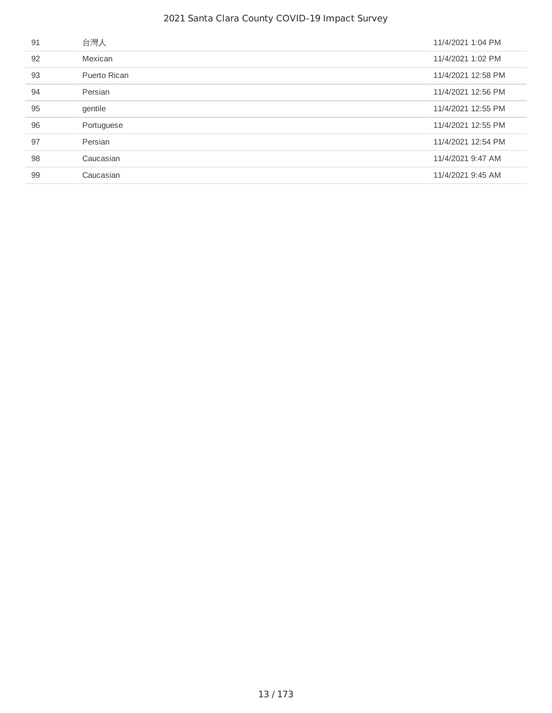| 91 | 台灣人          | 11/4/2021 1:04 PM  |
|----|--------------|--------------------|
| 92 | Mexican      | 11/4/2021 1:02 PM  |
| 93 | Puerto Rican | 11/4/2021 12:58 PM |
| 94 | Persian      | 11/4/2021 12:56 PM |
| 95 | gentile      | 11/4/2021 12:55 PM |
| 96 | Portuguese   | 11/4/2021 12:55 PM |
| 97 | Persian      | 11/4/2021 12:54 PM |
| 98 | Caucasian    | 11/4/2021 9:47 AM  |
| 99 | Caucasian    | 11/4/2021 9:45 AM  |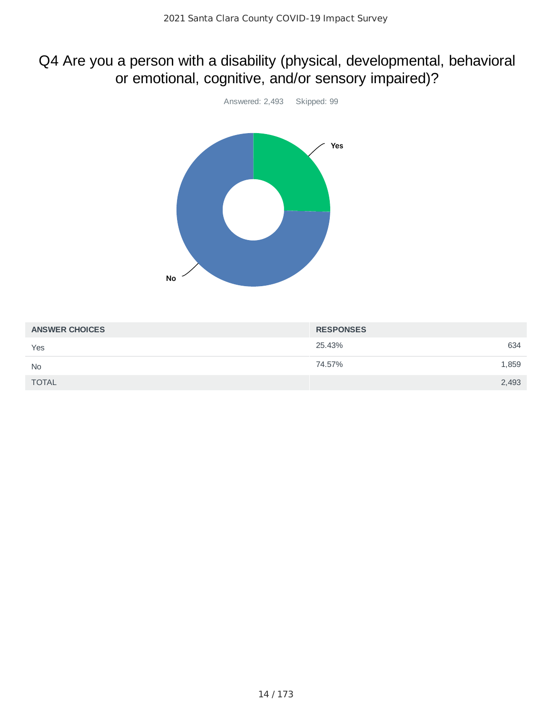# Q4 Are you a person with a disability (physical, developmental, behavioral or emotional, cognitive, and/or sensory impaired)?



| <b>ANSWER CHOICES</b> | <b>RESPONSES</b> |  |
|-----------------------|------------------|--|
| Yes                   | 634<br>25.43%    |  |
| <b>No</b>             | 74.57%<br>1,859  |  |
| <b>TOTAL</b>          | 2,493            |  |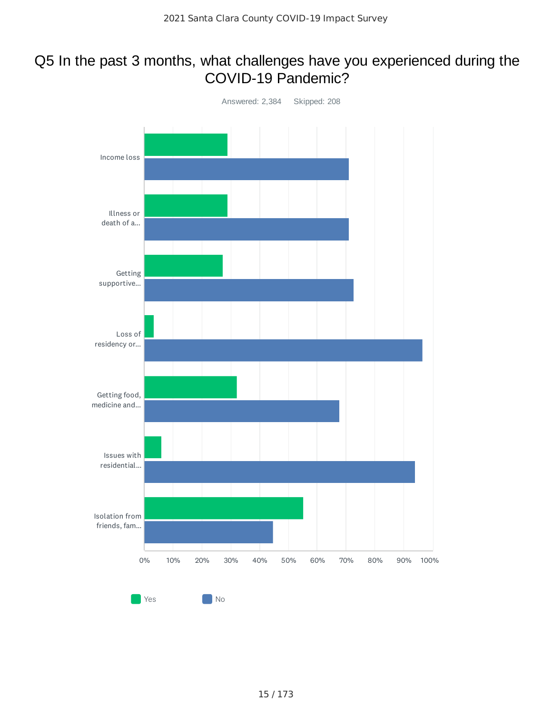# Q5 In the past 3 months, what challenges have you experienced during the COVID-19 Pandemic?

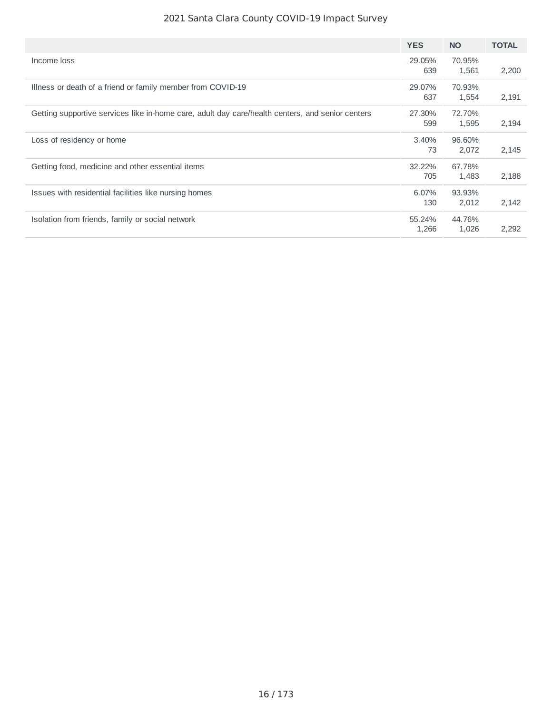|                                                                                                  | <b>YES</b>      | <b>NO</b>       | <b>TOTAL</b> |
|--------------------------------------------------------------------------------------------------|-----------------|-----------------|--------------|
| Income loss                                                                                      | 29.05%<br>639   | 70.95%<br>1,561 | 2,200        |
| Illness or death of a friend or family member from COVID-19                                      | 29.07%<br>637   | 70.93%<br>1,554 | 2,191        |
| Getting supportive services like in-home care, adult day care/health centers, and senior centers | 27.30%<br>599   | 72.70%<br>1,595 | 2,194        |
| Loss of residency or home                                                                        | 3.40%<br>73     | 96.60%<br>2.072 | 2,145        |
| Getting food, medicine and other essential items                                                 | 32.22%<br>705   | 67.78%<br>1,483 | 2,188        |
| Issues with residential facilities like nursing homes                                            | 6.07%<br>130    | 93.93%<br>2,012 | 2,142        |
| Isolation from friends, family or social network                                                 | 55.24%<br>1,266 | 44.76%<br>1,026 | 2,292        |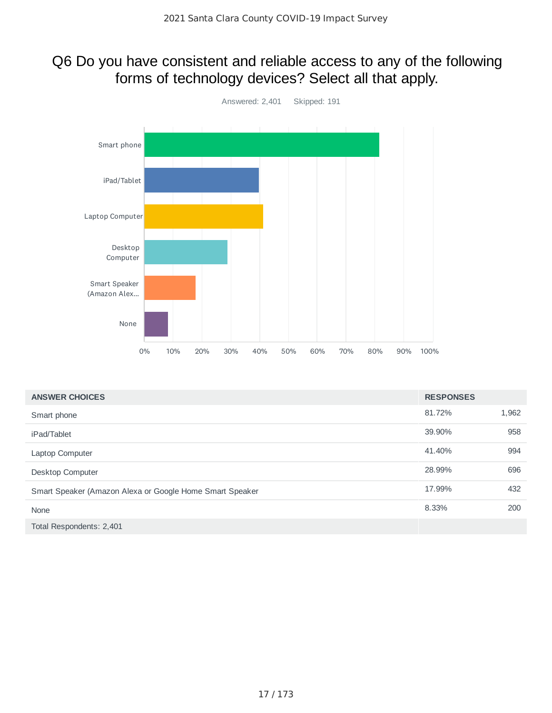# Q6 Do you have consistent and reliable access to any of the following forms of technology devices? Select all that apply.



| <b>ANSWER CHOICES</b>                                    | <b>RESPONSES</b> |       |
|----------------------------------------------------------|------------------|-------|
| Smart phone                                              | 81.72%           | 1,962 |
| iPad/Tablet                                              | 39.90%           | 958   |
| Laptop Computer                                          | 41.40%           | 994   |
| Desktop Computer                                         | 28.99%           | 696   |
| Smart Speaker (Amazon Alexa or Google Home Smart Speaker | 17.99%           | 432   |
| None                                                     | 8.33%            | 200   |
| Total Respondents: 2,401                                 |                  |       |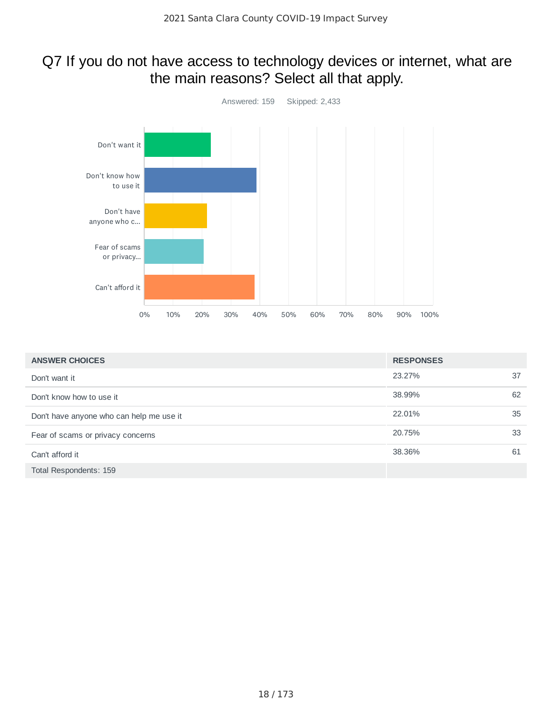# Q7 If you do not have access to technology devices or internet, what are the main reasons? Select all that apply.



| <b>ANSWER CHOICES</b>                    | <b>RESPONSES</b> |    |
|------------------------------------------|------------------|----|
| Don't want it                            | 23.27%           | 37 |
| Don't know how to use it                 | 38.99%           | 62 |
| Don't have anyone who can help me use it | 22.01%           | 35 |
| Fear of scams or privacy concerns        | 20.75%           | 33 |
| Can't afford it                          | 38.36%           | 61 |
| Total Respondents: 159                   |                  |    |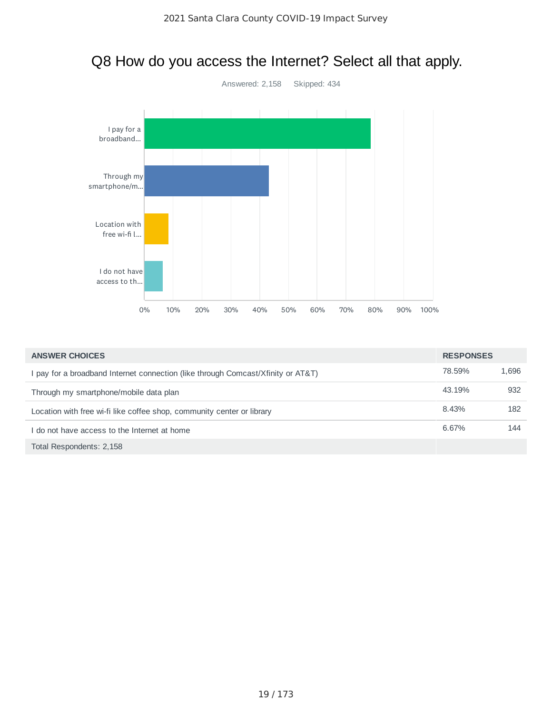# Q8 How do you access the Internet? Select all that apply.



| <b>ANSWER CHOICES</b>                                                            | <b>RESPONSES</b> |       |
|----------------------------------------------------------------------------------|------------------|-------|
| I pay for a broadband Internet connection (like through Comcast/Xfinity or AT&T) | 78.59%           | 1,696 |
| Through my smartphone/mobile data plan                                           | 43.19%           | 932   |
| Location with free wi-fi like coffee shop, community center or library           | 8.43%            | 182   |
| I do not have access to the Internet at home                                     | 6.67%            | 144   |
| Total Respondents: 2,158                                                         |                  |       |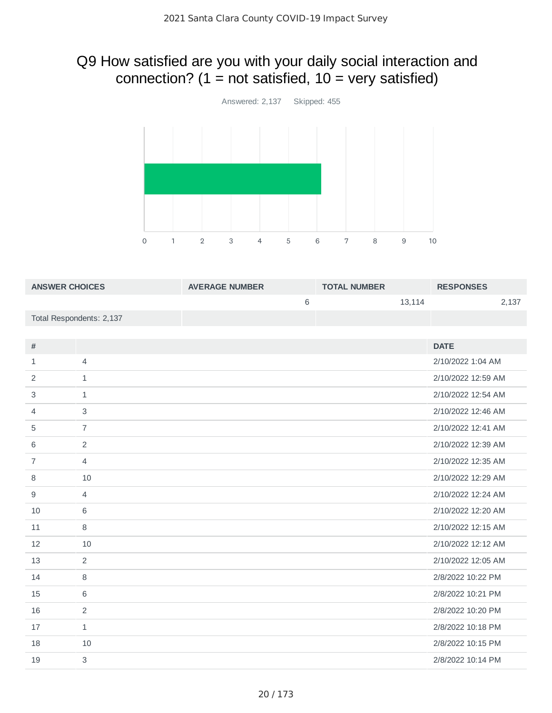# Q9 How satisfied are you with your daily social interaction and connection? ( $1 = not satisfied$ ,  $10 = very satisfied$ )



| <b>ANSWER CHOICES</b> |                          | <b>AVERAGE NUMBER</b> | <b>TOTAL NUMBER</b> | <b>RESPONSES</b>   |  |
|-----------------------|--------------------------|-----------------------|---------------------|--------------------|--|
|                       |                          | 6                     | 13,114              | 2,137              |  |
|                       | Total Respondents: 2,137 |                       |                     |                    |  |
|                       |                          |                       |                     |                    |  |
| #                     |                          |                       |                     | <b>DATE</b>        |  |
| $\mathbf{1}$          | $\overline{4}$           |                       |                     | 2/10/2022 1:04 AM  |  |
| 2                     | $\mathbf{1}$             |                       |                     | 2/10/2022 12:59 AM |  |
| 3                     | $\mathbf{1}$             |                       |                     | 2/10/2022 12:54 AM |  |
| 4                     | $\mathsf 3$              |                       |                     | 2/10/2022 12:46 AM |  |
| 5                     | $\overline{7}$           |                       |                     | 2/10/2022 12:41 AM |  |
| 6                     | $\overline{c}$           |                       |                     | 2/10/2022 12:39 AM |  |
| 7                     | $\overline{4}$           |                       |                     | 2/10/2022 12:35 AM |  |
| 8                     | 10                       |                       |                     | 2/10/2022 12:29 AM |  |
| 9                     | $\overline{4}$           |                       |                     | 2/10/2022 12:24 AM |  |
| 10                    | 6                        |                       |                     | 2/10/2022 12:20 AM |  |
| 11                    | 8                        |                       |                     | 2/10/2022 12:15 AM |  |
| 12                    | 10                       |                       |                     | 2/10/2022 12:12 AM |  |
| 13                    | $\overline{c}$           |                       |                     | 2/10/2022 12:05 AM |  |
| 14                    | $\, 8$                   |                       |                     | 2/8/2022 10:22 PM  |  |
| 15                    | 6                        |                       |                     | 2/8/2022 10:21 PM  |  |
| 16                    | 2                        |                       |                     | 2/8/2022 10:20 PM  |  |
| 17                    | $\mathbf{1}$             |                       |                     | 2/8/2022 10:18 PM  |  |
| 18                    | 10                       |                       |                     | 2/8/2022 10:15 PM  |  |
| 19                    | 3                        |                       |                     | 2/8/2022 10:14 PM  |  |
|                       |                          |                       |                     |                    |  |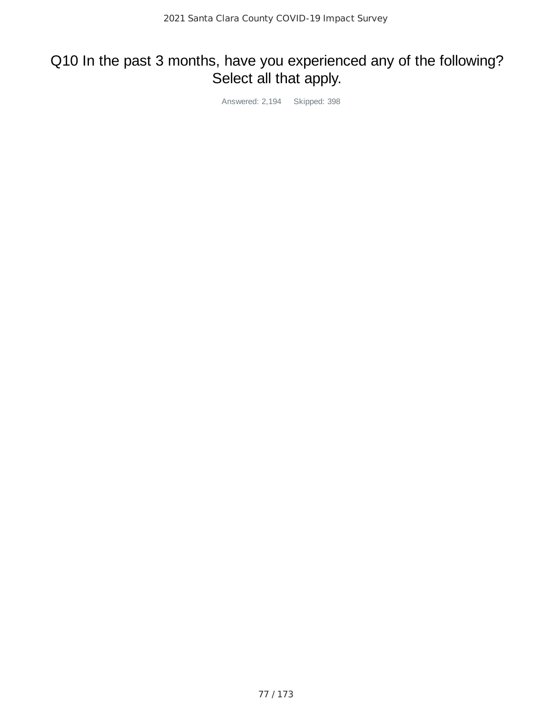# Q10 In the past 3 months, have you experienced any of the following? Select all that apply.

Answered: 2,194 Skipped: 398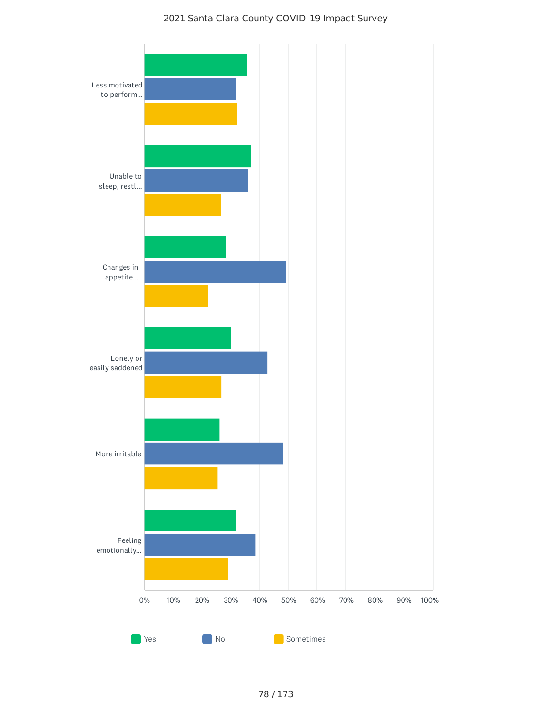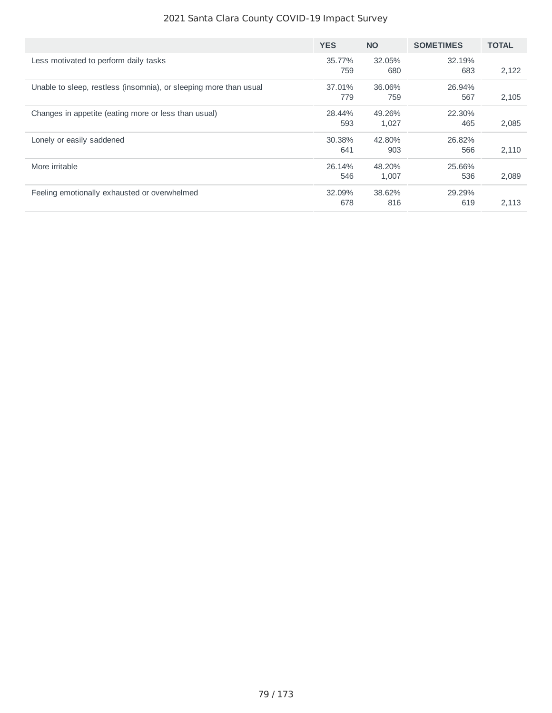|                                                                   | <b>YES</b>    | <b>NO</b>       | <b>SOMETIMES</b> | <b>TOTAL</b> |
|-------------------------------------------------------------------|---------------|-----------------|------------------|--------------|
| Less motivated to perform daily tasks                             | 35.77%<br>759 | 32.05%<br>680   | 32.19%<br>683    | 2,122        |
| Unable to sleep, restless (insomnia), or sleeping more than usual | 37.01%<br>779 | 36.06%<br>759   | 26.94%<br>567    | 2,105        |
| Changes in appetite (eating more or less than usual)              | 28.44%<br>593 | 49.26%<br>1,027 | 22.30%<br>465    | 2,085        |
| Lonely or easily saddened                                         | 30.38%<br>641 | 42.80%<br>903   | 26.82%<br>566    | 2,110        |
| More irritable                                                    | 26.14%<br>546 | 48.20%<br>1,007 | 25.66%<br>536    | 2,089        |
| Feeling emotionally exhausted or overwhelmed                      | 32.09%<br>678 | 38.62%<br>816   | 29.29%<br>619    | 2,113        |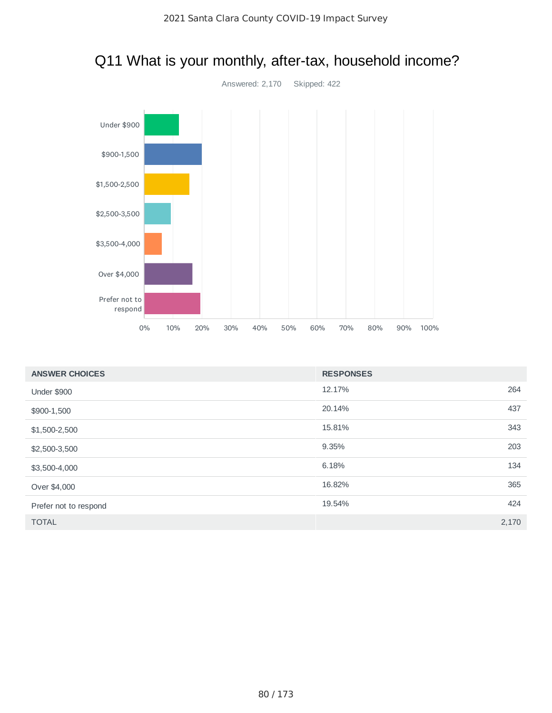

# Q11 What is your monthly, after-tax, household income?

| <b>ANSWER CHOICES</b> | <b>RESPONSES</b> |       |
|-----------------------|------------------|-------|
| <b>Under \$900</b>    | 12.17%           | 264   |
| \$900-1,500           | 20.14%           | 437   |
| \$1,500-2,500         | 15.81%           | 343   |
| \$2,500-3,500         | 9.35%            | 203   |
| \$3,500-4,000         | 6.18%            | 134   |
| Over \$4,000          | 16.82%           | 365   |
| Prefer not to respond | 19.54%           | 424   |
| <b>TOTAL</b>          |                  | 2,170 |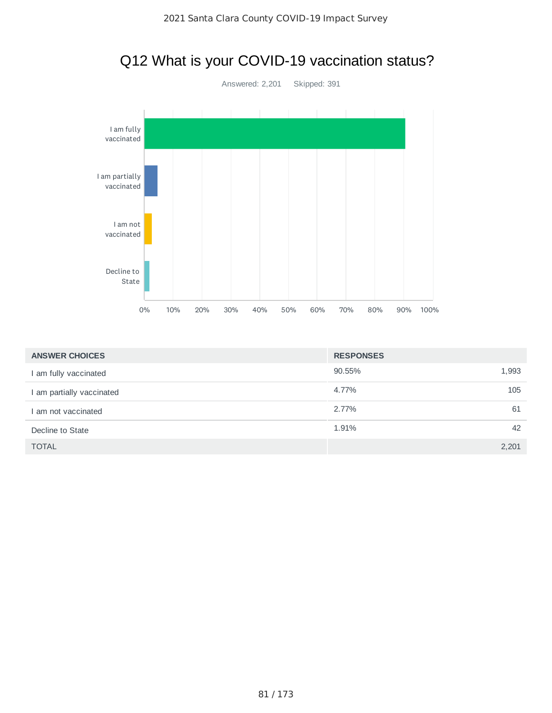# Q12 What is your COVID-19 vaccination status?



| <b>ANSWER CHOICES</b>     | <b>RESPONSES</b> |       |
|---------------------------|------------------|-------|
| I am fully vaccinated     | 90.55%           | 1,993 |
| I am partially vaccinated | 4.77%            | 105   |
| I am not vaccinated       | 2.77%            | 61    |
| Decline to State          | 1.91%            | 42    |
| <b>TOTAL</b>              |                  | 2,201 |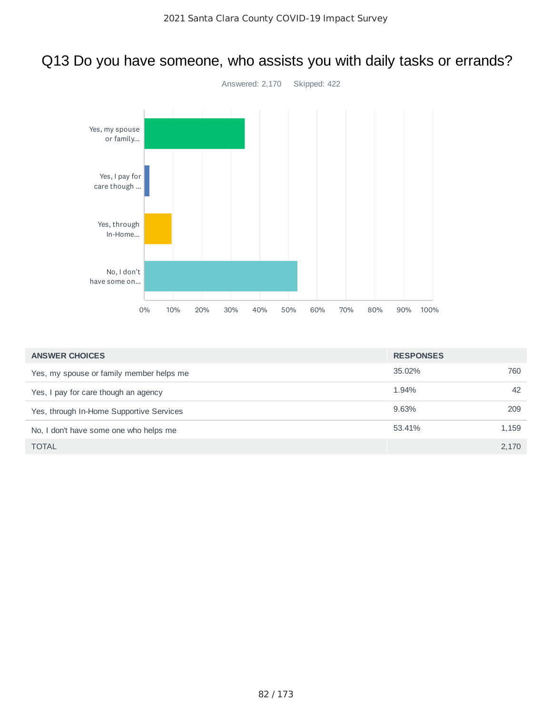# Answered: 2,170 Skipped: 422 0% 10% 20% 30% 40% 50% 60% 70% 80% 90% 100% Yes, my spouse or family... Yes, I pay for care though ... Yes, through In-Home... No, I don't have some on...

| <b>ANSWER CHOICES</b>                    | <b>RESPONSES</b> |       |
|------------------------------------------|------------------|-------|
| Yes, my spouse or family member helps me | 35.02%           | 760   |
| Yes, I pay for care though an agency     | 1.94%            | 42    |
| Yes, through In-Home Supportive Services | 9.63%            | 209   |
| No, I don't have some one who helps me   | 53.41%           | 1,159 |
| <b>TOTAL</b>                             |                  | 2,170 |
|                                          |                  |       |

# Q13 Do you have someone, who assists you with daily tasks or errands?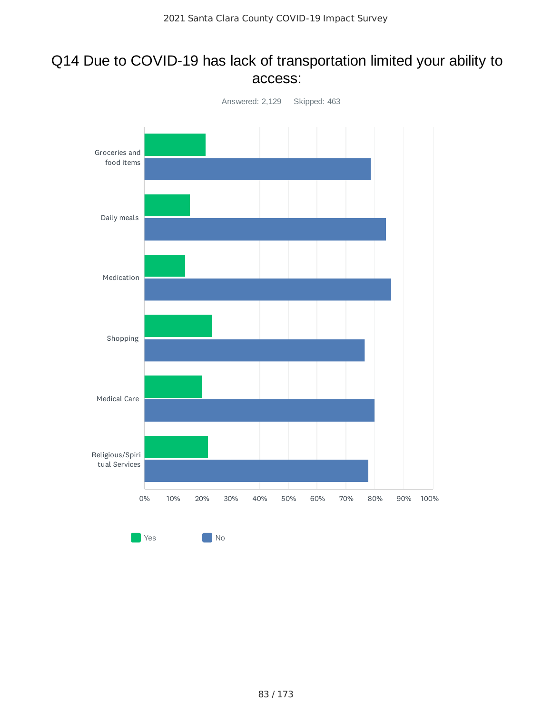## Q14 Due to COVID-19 has lack of transportation limited your ability to access:

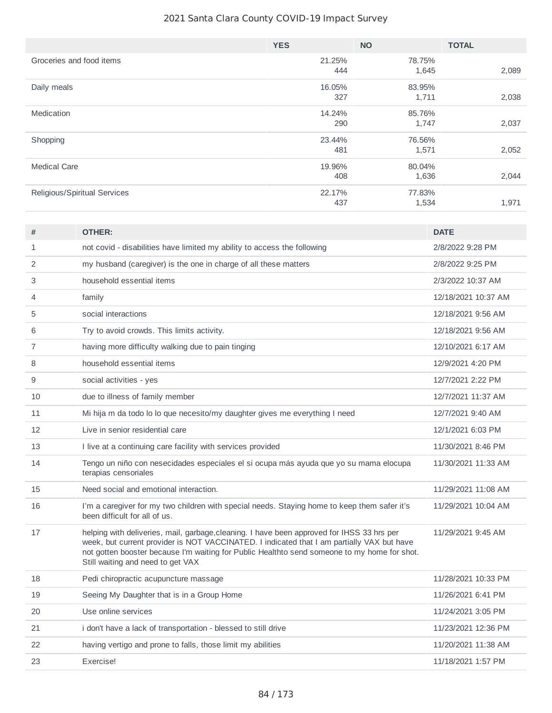|                              | <b>YES</b> | <b>NO</b> | <b>TOTAL</b> |
|------------------------------|------------|-----------|--------------|
| Groceries and food items     | 21.25%     | 78.75%    |              |
|                              | 444        | 1,645     | 2,089        |
| Daily meals                  | 16.05%     | 83.95%    |              |
|                              | 327        | 1,711     | 2,038        |
| Medication                   | 14.24%     | 85.76%    |              |
|                              | 290        | 1,747     | 2,037        |
| Shopping                     | 23.44%     | 76.56%    |              |
|                              | 481        | 1,571     | 2,052        |
| <b>Medical Care</b>          | 19.96%     | 80.04%    |              |
|                              | 408        | 1,636     | 2,044        |
| Religious/Spiritual Services | 22.17%     | 77.83%    |              |
|                              | 437        | 1,534     | 1,971        |

| #              | <b>OTHER:</b>                                                                                                                                                                                                                                                                                                                 | <b>DATE</b>         |
|----------------|-------------------------------------------------------------------------------------------------------------------------------------------------------------------------------------------------------------------------------------------------------------------------------------------------------------------------------|---------------------|
| $\mathbf{1}$   | not covid - disabilities have limited my ability to access the following                                                                                                                                                                                                                                                      | 2/8/2022 9:28 PM    |
| $\overline{2}$ | my husband (caregiver) is the one in charge of all these matters                                                                                                                                                                                                                                                              | 2/8/2022 9:25 PM    |
| 3              | household essential items                                                                                                                                                                                                                                                                                                     | 2/3/2022 10:37 AM   |
| 4              | family                                                                                                                                                                                                                                                                                                                        | 12/18/2021 10:37 AM |
| 5              | social interactions                                                                                                                                                                                                                                                                                                           | 12/18/2021 9:56 AM  |
| 6              | Try to avoid crowds. This limits activity.                                                                                                                                                                                                                                                                                    | 12/18/2021 9:56 AM  |
| $\overline{7}$ | having more difficulty walking due to pain tinging                                                                                                                                                                                                                                                                            | 12/10/2021 6:17 AM  |
| 8              | household essential items                                                                                                                                                                                                                                                                                                     | 12/9/2021 4:20 PM   |
| 9              | social activities - yes                                                                                                                                                                                                                                                                                                       | 12/7/2021 2:22 PM   |
| 10             | due to illness of family member                                                                                                                                                                                                                                                                                               | 12/7/2021 11:37 AM  |
| 11             | Mi hija m da todo lo lo que necesito/my daughter gives me everything I need                                                                                                                                                                                                                                                   | 12/7/2021 9:40 AM   |
| 12             | Live in senior residential care                                                                                                                                                                                                                                                                                               | 12/1/2021 6:03 PM   |
| 13             | I live at a continuing care facility with services provided                                                                                                                                                                                                                                                                   | 11/30/2021 8:46 PM  |
| 14             | Tengo un niño con nesecidades especiales el si ocupa más ayuda que yo su mama elocupa<br>terapias censoriales                                                                                                                                                                                                                 | 11/30/2021 11:33 AM |
| 15             | Need social and emotional interaction.                                                                                                                                                                                                                                                                                        | 11/29/2021 11:08 AM |
| 16             | I'm a caregiver for my two children with special needs. Staying home to keep them safer it's<br>been difficult for all of us.                                                                                                                                                                                                 | 11/29/2021 10:04 AM |
| 17             | helping with deliveries, mail, garbage, cleaning. I have been approved for IHSS 33 hrs per<br>week, but current provider is NOT VACCINATED. I indicated that I am partially VAX but have<br>not gotten booster because I'm waiting for Public Healthto send someone to my home for shot.<br>Still waiting and need to get VAX | 11/29/2021 9:45 AM  |
| 18             | Pedi chiropractic acupuncture massage                                                                                                                                                                                                                                                                                         | 11/28/2021 10:33 PM |
| 19             | Seeing My Daughter that is in a Group Home                                                                                                                                                                                                                                                                                    | 11/26/2021 6:41 PM  |
| 20             | Use online services                                                                                                                                                                                                                                                                                                           | 11/24/2021 3:05 PM  |
| 21             | i don't have a lack of transportation - blessed to still drive                                                                                                                                                                                                                                                                | 11/23/2021 12:36 PM |
| 22             | having vertigo and prone to falls, those limit my abilities                                                                                                                                                                                                                                                                   | 11/20/2021 11:38 AM |
| 23             | Exercise!                                                                                                                                                                                                                                                                                                                     | 11/18/2021 1:57 PM  |
|                |                                                                                                                                                                                                                                                                                                                               |                     |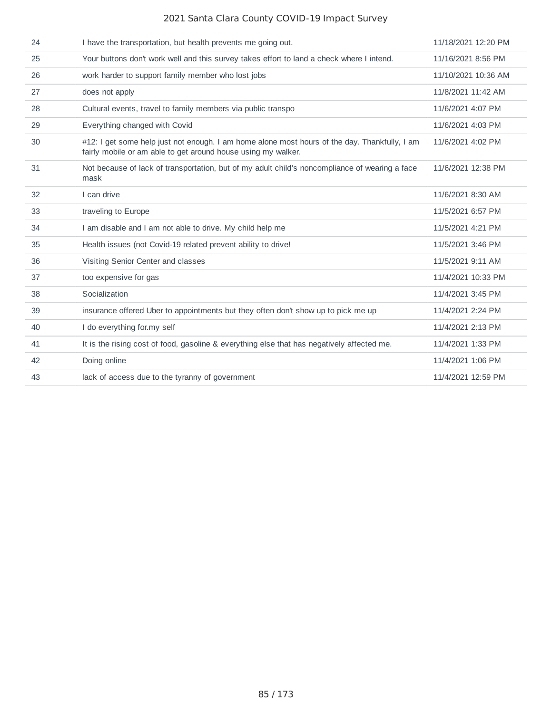| 24 | I have the transportation, but health prevents me going out.                                                                                                   | 11/18/2021 12:20 PM |
|----|----------------------------------------------------------------------------------------------------------------------------------------------------------------|---------------------|
| 25 | Your buttons don't work well and this survey takes effort to land a check where I intend.                                                                      | 11/16/2021 8:56 PM  |
| 26 | work harder to support family member who lost jobs                                                                                                             | 11/10/2021 10:36 AM |
| 27 | does not apply                                                                                                                                                 | 11/8/2021 11:42 AM  |
| 28 | Cultural events, travel to family members via public transpo                                                                                                   | 11/6/2021 4:07 PM   |
| 29 | Everything changed with Covid                                                                                                                                  | 11/6/2021 4:03 PM   |
| 30 | #12: I get some help just not enough. I am home alone most hours of the day. Thankfully, I am<br>fairly mobile or am able to get around house using my walker. | 11/6/2021 4:02 PM   |
| 31 | Not because of lack of transportation, but of my adult child's noncompliance of wearing a face<br>mask                                                         | 11/6/2021 12:38 PM  |
| 32 | I can drive                                                                                                                                                    | 11/6/2021 8:30 AM   |
| 33 | traveling to Europe                                                                                                                                            | 11/5/2021 6:57 PM   |
| 34 | I am disable and I am not able to drive. My child help me                                                                                                      | 11/5/2021 4:21 PM   |
| 35 | Health issues (not Covid-19 related prevent ability to drive!                                                                                                  | 11/5/2021 3:46 PM   |
| 36 | Visiting Senior Center and classes                                                                                                                             | 11/5/2021 9:11 AM   |
| 37 | too expensive for gas                                                                                                                                          | 11/4/2021 10:33 PM  |
| 38 | Socialization                                                                                                                                                  | 11/4/2021 3:45 PM   |
| 39 | insurance offered Uber to appointments but they often don't show up to pick me up                                                                              | 11/4/2021 2:24 PM   |
| 40 | I do everything for.my self                                                                                                                                    | 11/4/2021 2:13 PM   |
| 41 | It is the rising cost of food, gasoline & everything else that has negatively affected me.                                                                     | 11/4/2021 1:33 PM   |
| 42 | Doing online                                                                                                                                                   | 11/4/2021 1:06 PM   |
| 43 | lack of access due to the tyranny of government                                                                                                                | 11/4/2021 12:59 PM  |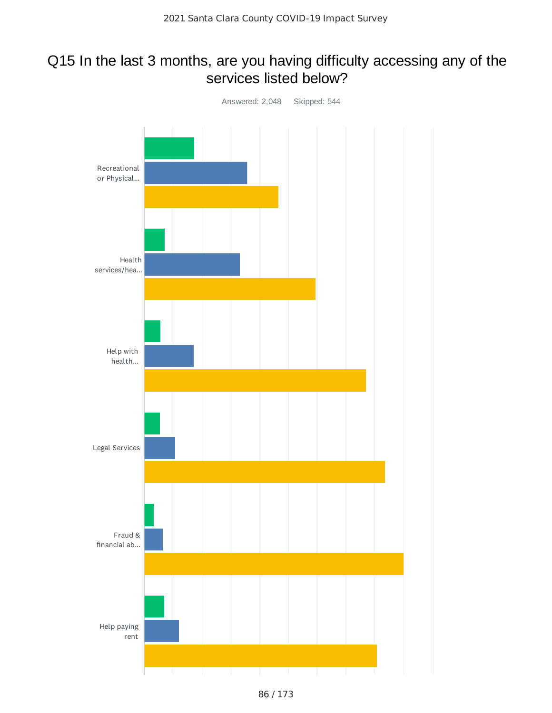# Q15 In the last 3 months, are you having difficulty accessing any of the services listed below?

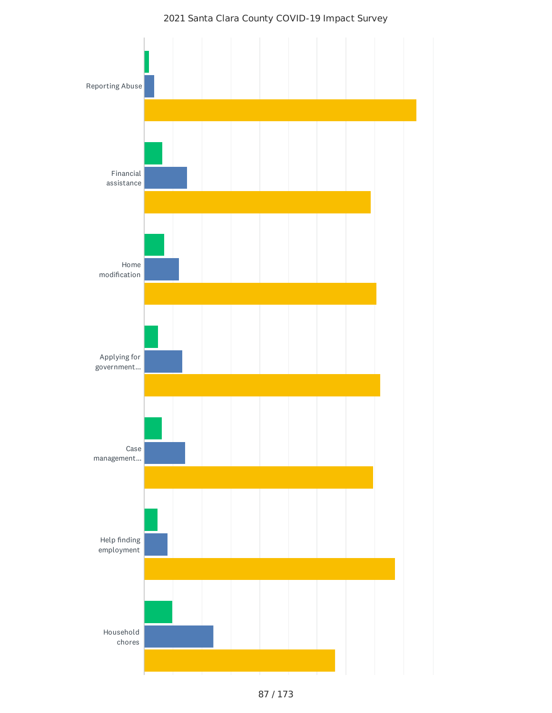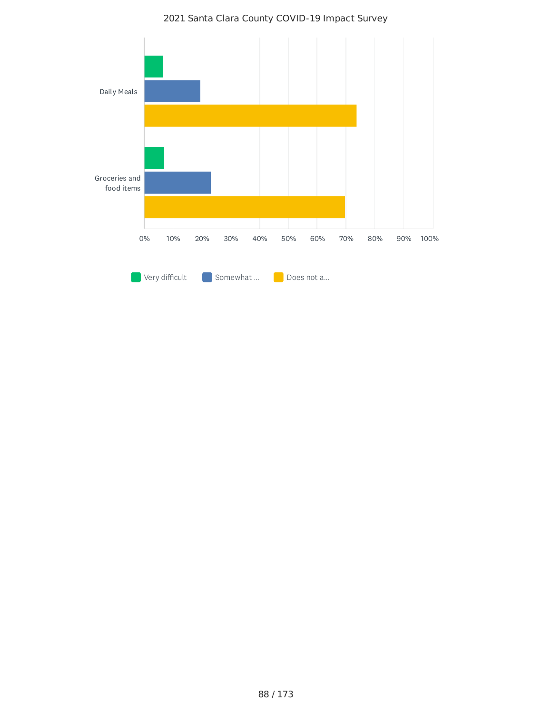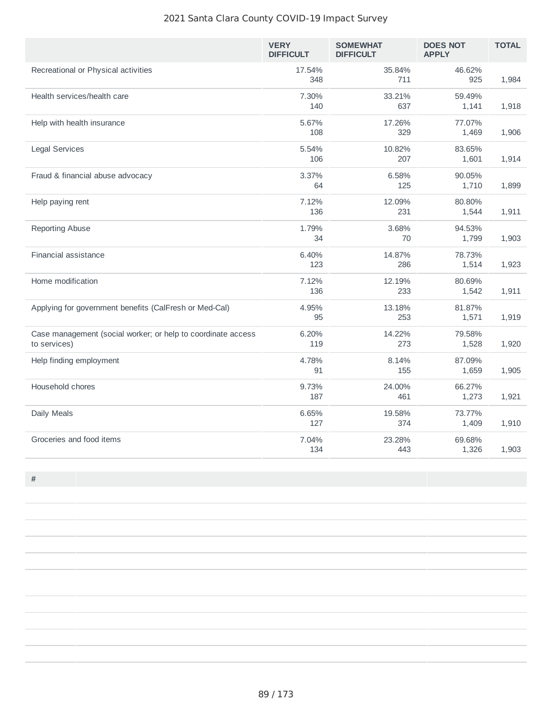|                                                                              | <b>VERY</b><br><b>DIFFICULT</b> | <b>SOMEWHAT</b><br><b>DIFFICULT</b> | <b>DOES NOT</b><br><b>APPLY</b> | <b>TOTAL</b> |
|------------------------------------------------------------------------------|---------------------------------|-------------------------------------|---------------------------------|--------------|
| Recreational or Physical activities                                          | 17.54%<br>348                   | 35.84%<br>711                       | 46.62%<br>925                   | 1,984        |
| Health services/health care                                                  | 7.30%<br>140                    | 33.21%<br>637                       | 59.49%<br>1,141                 | 1,918        |
| Help with health insurance                                                   | 5.67%<br>108                    | 17.26%<br>329                       | 77.07%<br>1,469                 | 1,906        |
| <b>Legal Services</b>                                                        | 5.54%<br>106                    | 10.82%<br>207                       | 83.65%<br>1,601                 | 1,914        |
| Fraud & financial abuse advocacy                                             | 3.37%<br>64                     | 6.58%<br>125                        | 90.05%<br>1,710                 | 1,899        |
| Help paying rent                                                             | 7.12%<br>136                    | 12.09%<br>231                       | 80.80%<br>1,544                 | 1,911        |
| <b>Reporting Abuse</b>                                                       | 1.79%<br>34                     | 3.68%<br>70                         | 94.53%<br>1,799                 | 1,903        |
| Financial assistance                                                         | 6.40%<br>123                    | 14.87%<br>286                       | 78.73%<br>1,514                 | 1,923        |
| Home modification                                                            | 7.12%<br>136                    | 12.19%<br>233                       | 80.69%<br>1,542                 | 1,911        |
| Applying for government benefits (CalFresh or Med-Cal)                       | 4.95%<br>95                     | 13.18%<br>253                       | 81.87%<br>1,571                 | 1,919        |
| Case management (social worker; or help to coordinate access<br>to services) | 6.20%<br>119                    | 14.22%<br>273                       | 79.58%<br>1,528                 | 1,920        |
| Help finding employment                                                      | 4.78%<br>91                     | 8.14%<br>155                        | 87.09%<br>1,659                 | 1,905        |
| Household chores                                                             | 9.73%<br>187                    | 24.00%<br>461                       | 66.27%<br>1,273                 | 1,921        |
| Daily Meals                                                                  | 6.65%<br>127                    | 19.58%<br>374                       | 73.77%<br>1,409                 | 1,910        |
| Groceries and food items                                                     | 7.04%<br>134                    | 23.28%<br>443                       | 69.68%<br>1,326                 | 1,903        |

**#**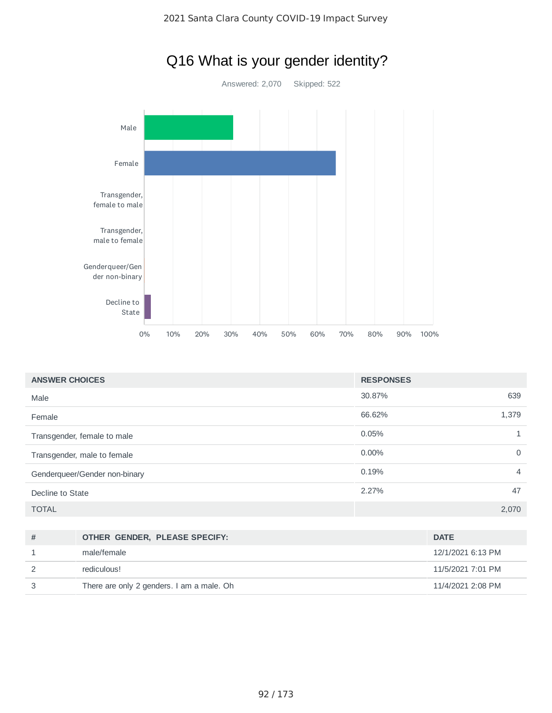

| <b>ANSWER CHOICES</b>         | <b>RESPONSES</b> |       |
|-------------------------------|------------------|-------|
| Male                          | 30.87%           | 639   |
| Female                        | 66.62%           | 1,379 |
| Transgender, female to male   | 0.05%            |       |
| Transgender, male to female   | $0.00\%$         | 0     |
| Genderqueer/Gender non-binary | 0.19%            | 4     |
| Decline to State              | 2.27%            | 47    |
| <b>TOTAL</b>                  |                  | 2,070 |

| = = = <i>.</i> |       |
|----------------|-------|
| State          | 2.27% |
|                |       |
|                |       |

| # | OTHER GENDER, PLEASE SPECIFY:             | <b>DATE</b>       |
|---|-------------------------------------------|-------------------|
|   | male/female                               | 12/1/2021 6:13 PM |
|   | rediculous!                               | 11/5/2021 7:01 PM |
|   | There are only 2 genders. I am a male. Oh | 11/4/2021 2:08 PM |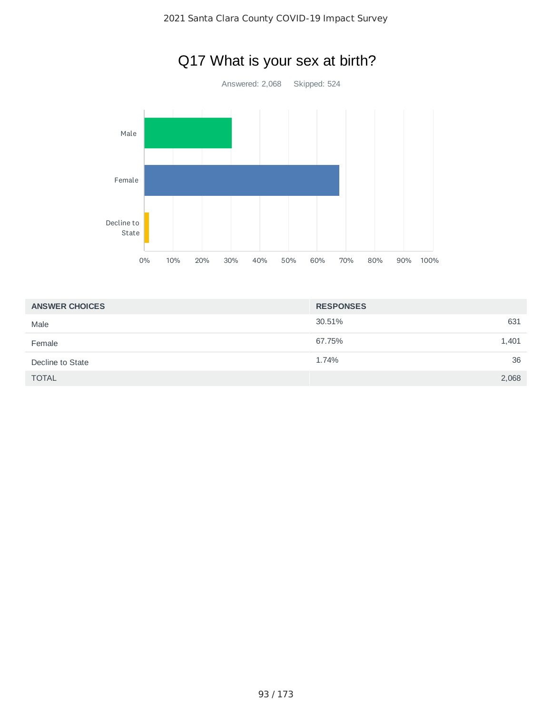

|  | Q17 What is your sex at birth? |
|--|--------------------------------|
|--|--------------------------------|

| <b>ANSWER CHOICES</b> | <b>RESPONSES</b> |       |
|-----------------------|------------------|-------|
| Male                  | 30.51%           | 631   |
| Female                | 67.75%           | 1,401 |
| Decline to State      | 1.74%            | 36    |
| <b>TOTAL</b>          |                  | 2,068 |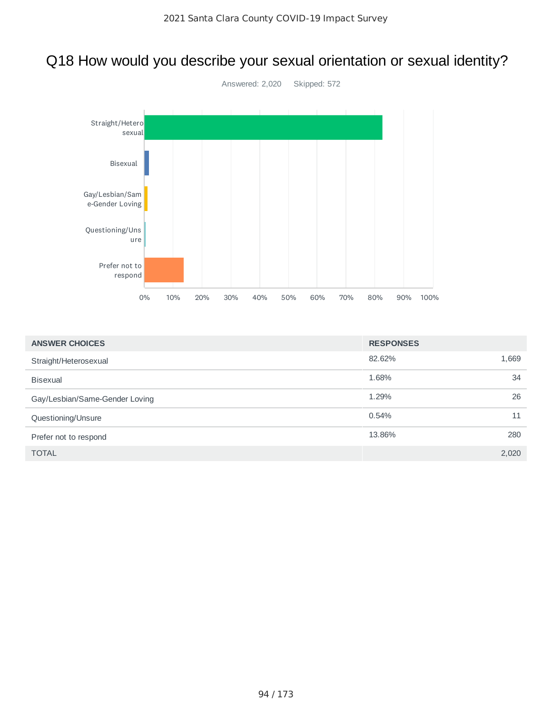# Q18 How would you describe your sexual orientation or sexual identity?



| <b>ANSWER CHOICES</b>          | <b>RESPONSES</b> |       |  |
|--------------------------------|------------------|-------|--|
| Straight/Heterosexual          | 82.62%           | 1,669 |  |
| <b>Bisexual</b>                | 1.68%            | 34    |  |
| Gay/Lesbian/Same-Gender Loving | 1.29%            | 26    |  |
| Questioning/Unsure             | 0.54%            | 11    |  |
| Prefer not to respond          | 13.86%           | 280   |  |
| <b>TOTAL</b>                   |                  | 2,020 |  |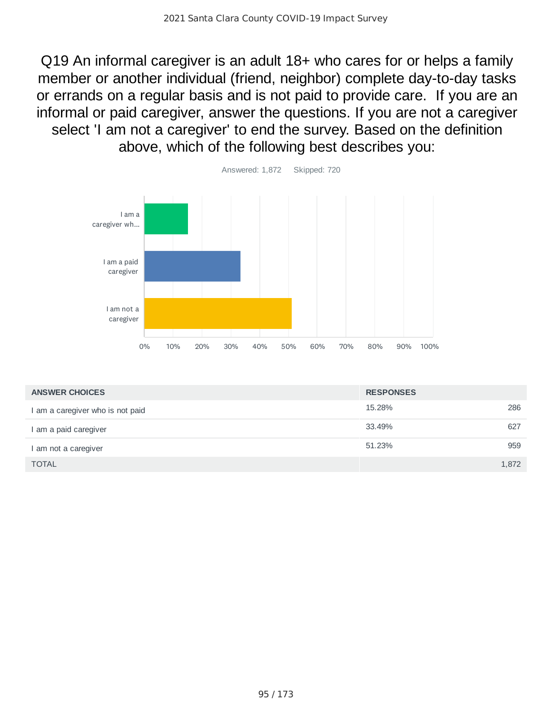Q19 An informal caregiver is an adult 18+ who cares for or helps a family member or another individual (friend, neighbor) complete day-to-day tasks or errands on a regular basis and is not paid to provide care. If you are an informal or paid caregiver, answer the questions. If you are not a caregiver select 'I am not a caregiver' to end the survey. Based on the definition above, which of the following best describes you:



| <b>ANSWER CHOICES</b>            | <b>RESPONSES</b> |  |
|----------------------------------|------------------|--|
| I am a caregiver who is not paid | 15.28%<br>286    |  |
| I am a paid caregiver            | 33.49%<br>627    |  |
| I am not a caregiver             | 51.23%<br>959    |  |
| <b>TOTAL</b>                     | 1,872            |  |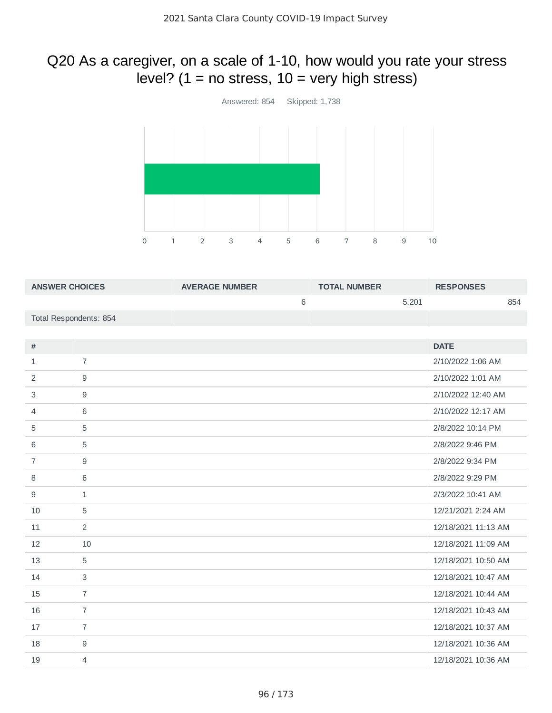# Q20 As a caregiver, on a scale of 1-10, how would you rate your stress level?  $(1 = no stress, 10 = very high stress)$



| <b>ANSWER CHOICES</b>  |                | <b>AVERAGE NUMBER</b> | <b>TOTAL NUMBER</b> |       | <b>RESPONSES</b>    |  |
|------------------------|----------------|-----------------------|---------------------|-------|---------------------|--|
|                        |                | 6                     |                     | 5,201 | 854                 |  |
| Total Respondents: 854 |                |                       |                     |       |                     |  |
|                        |                |                       |                     |       |                     |  |
| $\#$                   |                |                       |                     |       | <b>DATE</b>         |  |
| $\mathbf{1}$           | $\overline{7}$ |                       |                     |       | 2/10/2022 1:06 AM   |  |
| $\overline{2}$         | $9\,$          |                       |                     |       | 2/10/2022 1:01 AM   |  |
| 3                      | $9\,$          |                       |                     |       | 2/10/2022 12:40 AM  |  |
| 4                      | 6              |                       |                     |       | 2/10/2022 12:17 AM  |  |
| 5                      | $\mathbf 5$    |                       |                     |       | 2/8/2022 10:14 PM   |  |
| 6                      | $\mathbf 5$    |                       |                     |       | 2/8/2022 9:46 PM    |  |
| $\overline{7}$         | $\mathsf g$    |                       |                     |       | 2/8/2022 9:34 PM    |  |
| 8                      | $6\,$          |                       |                     |       | 2/8/2022 9:29 PM    |  |
| 9                      | $\mathbf{1}$   |                       |                     |       | 2/3/2022 10:41 AM   |  |
| 10                     | 5              |                       |                     |       | 12/21/2021 2:24 AM  |  |
| 11                     | $\overline{c}$ |                       |                     |       | 12/18/2021 11:13 AM |  |
| 12                     | 10             |                       |                     |       | 12/18/2021 11:09 AM |  |
| 13                     | 5              |                       |                     |       | 12/18/2021 10:50 AM |  |
| 14                     | $\mathsf 3$    |                       |                     |       | 12/18/2021 10:47 AM |  |
| 15                     | $\overline{7}$ |                       |                     |       | 12/18/2021 10:44 AM |  |
| 16                     | $\overline{7}$ |                       |                     |       | 12/18/2021 10:43 AM |  |
| 17                     | $\overline{7}$ |                       |                     |       | 12/18/2021 10:37 AM |  |
| 18                     | $\mathsf g$    |                       |                     |       | 12/18/2021 10:36 AM |  |
| 19                     | $\overline{4}$ |                       |                     |       | 12/18/2021 10:36 AM |  |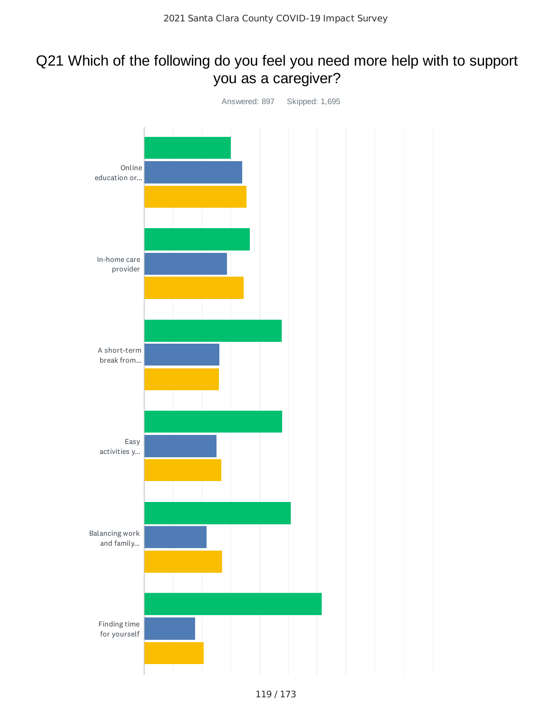# Q21 Which of the following do you feel you need more help with to support you as a caregiver?

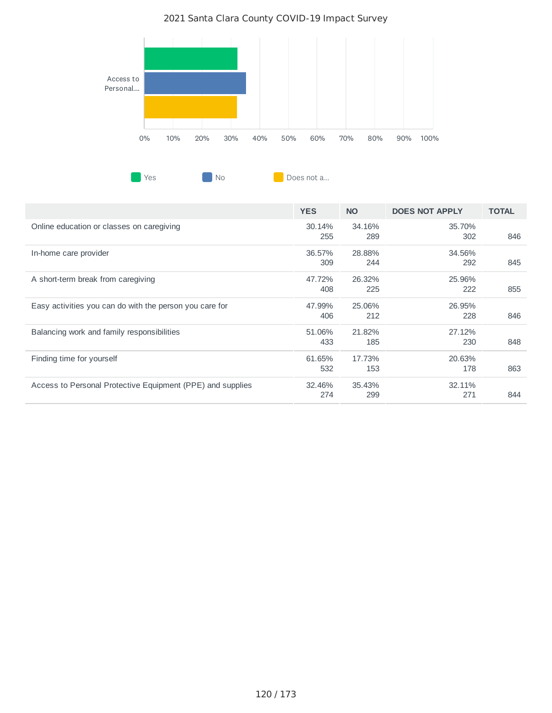

|                                                            | <b>YES</b>    | <b>NO</b>     | <b>DOES NOT APPLY</b> | <b>TOTAL</b> |
|------------------------------------------------------------|---------------|---------------|-----------------------|--------------|
| Online education or classes on caregiving                  | 30.14%<br>255 | 34.16%<br>289 | 35.70%<br>302         | 846          |
| In-home care provider                                      | 36.57%<br>309 | 28.88%<br>244 | 34.56%<br>292         | 845          |
| A short-term break from caregiving                         | 47.72%<br>408 | 26.32%<br>225 | 25.96%<br>222         | 855          |
| Easy activities you can do with the person you care for    | 47.99%<br>406 | 25.06%<br>212 | 26.95%<br>228         | 846          |
| Balancing work and family responsibilities                 | 51.06%<br>433 | 21.82%<br>185 | 27.12%<br>230         | 848          |
| Finding time for yourself                                  | 61.65%<br>532 | 17.73%<br>153 | 20.63%<br>178         | 863          |
| Access to Personal Protective Equipment (PPE) and supplies | 32.46%<br>274 | 35.43%<br>299 | 32.11%<br>271         | 844          |